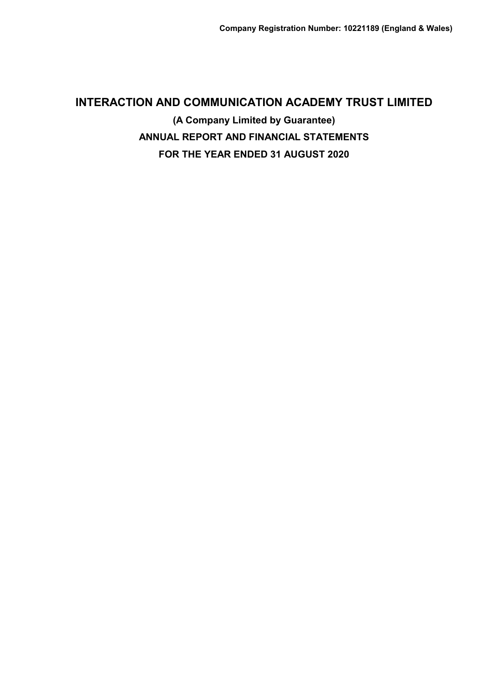# **INTERACTION AND COMMUNICATION ACADEMY TRUST LIMITED (A Company Limited by Guarantee) ANNUAL REPORT AND FINANCIAL STATEMENTS FOR THE YEAR ENDED 31 AUGUST 2020**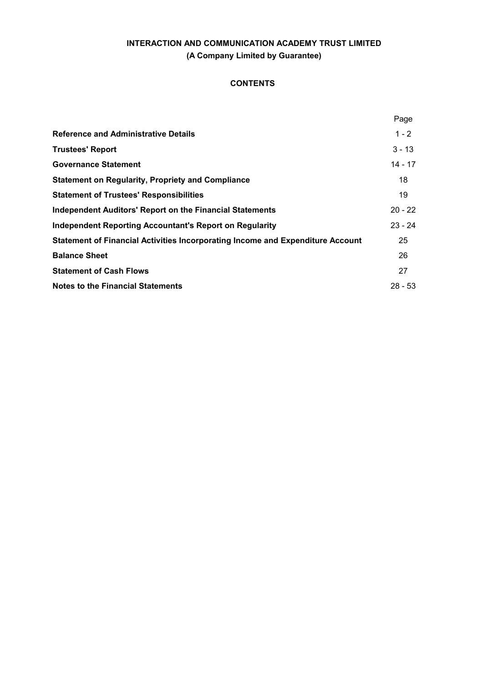## **CONTENTS**

|                                                                                | Page      |
|--------------------------------------------------------------------------------|-----------|
| <b>Reference and Administrative Details</b>                                    | $1 - 2$   |
| <b>Trustees' Report</b>                                                        | $3 - 13$  |
| <b>Governance Statement</b>                                                    | $14 - 17$ |
| <b>Statement on Regularity, Propriety and Compliance</b>                       | 18        |
| <b>Statement of Trustees' Responsibilities</b>                                 | 19        |
| <b>Independent Auditors' Report on the Financial Statements</b>                | $20 - 22$ |
| <b>Independent Reporting Accountant's Report on Regularity</b>                 | $23 - 24$ |
| Statement of Financial Activities Incorporating Income and Expenditure Account | 25        |
| <b>Balance Sheet</b>                                                           | 26        |
| <b>Statement of Cash Flows</b>                                                 | 27        |
| <b>Notes to the Financial Statements</b>                                       | $28 - 53$ |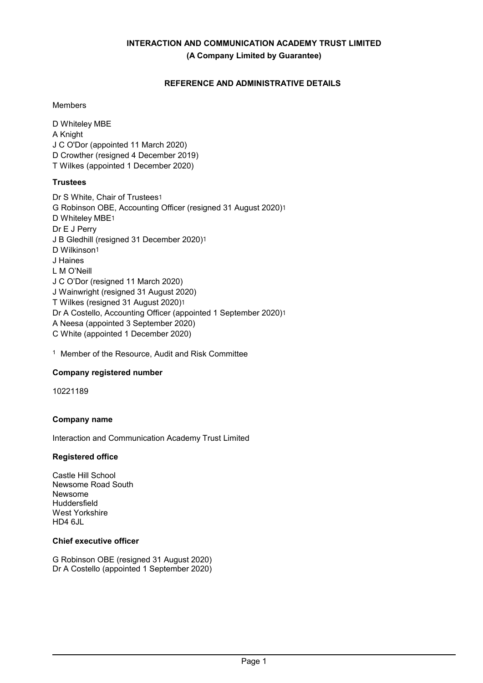## **REFERENCE AND ADMINISTRATIVE DETAILS**

## Members

D Whiteley MBE A Knight J C O'Dor (appointed 11 March 2020) D Crowther (resigned 4 December 2019) T Wilkes (appointed 1 December 2020)

## **Trustees**

- Dr S White, Chair of Trustees1 G Robinson OBE, Accounting Officer (resigned 31 August 2020)1 D Whiteley MBE1 Dr E J Perry J B Gledhill (resigned 31 December 2020)1 D Wilkinson1 J Haines L M O'Neill J C O'Dor (resigned 11 March 2020) J Wainwright (resigned 31 August 2020) T Wilkes (resigned 31 August 2020)1 Dr A Costello, Accounting Officer (appointed 1 September 2020)1 A Neesa (appointed 3 September 2020) C White (appointed 1 December 2020)
- <sup>1</sup> Member of the Resource, Audit and Risk Committee

## **Company registered number**

10221189

## **Company name**

Interaction and Communication Academy Trust Limited

## **Registered office**

Castle Hill School Newsome Road South Newsome Huddersfield West Yorkshire  $HD46Jl$ 

## **Chief executive officer**

G Robinson OBE (resigned 31 August 2020) Dr A Costello (appointed 1 September 2020)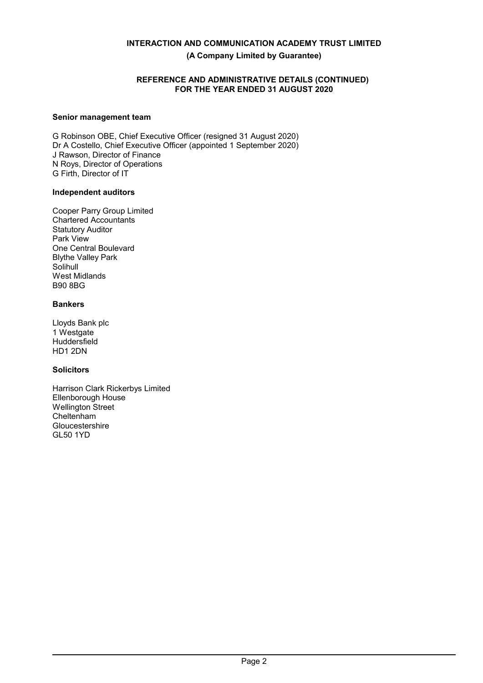## **REFERENCE AND ADMINISTRATIVE DETAILS (CONTINUED) FOR THE YEAR ENDED 31 AUGUST 2020**

## **Senior management team**

G Robinson OBE, Chief Executive Officer (resigned 31 August 2020) Dr A Costello, Chief Executive Officer (appointed 1 September 2020) J Rawson, Director of Finance N Roys, Director of Operations G Firth, Director of IT

## **Independent auditors**

Cooper Parry Group Limited Chartered Accountants Statutory Auditor Park View One Central Boulevard Blythe Valley Park **Solihull** West Midlands B90 8BG

## **Bankers**

Lloyds Bank plc 1 Westgate **Huddersfield** HD1 2DN

## **Solicitors**

Harrison Clark Rickerbys Limited Ellenborough House Wellington Street Cheltenham Gloucestershire GL50 1YD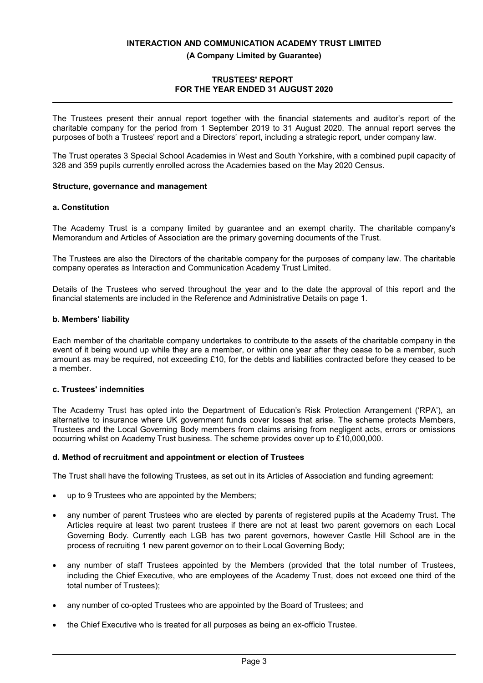## **(A Company Limited by Guarantee)**

## **TRUSTEES' REPORT FOR THE YEAR ENDED 31 AUGUST 2020**

The Trustees present their annual report together with the financial statements and auditor's report of the charitable company for the period from 1 September 2019 to 31 August 2020. The annual report serves the purposes of both a Trustees' report and a Directors' report, including a strategic report, under company law.

The Trust operates 3 Special School Academies in West and South Yorkshire, with a combined pupil capacity of 328 and 359 pupils currently enrolled across the Academies based on the May 2020 Census.

## **Structure, governance and management**

## **a. Constitution**

The Academy Trust is a company limited by guarantee and an exempt charity. The charitable company's Memorandum and Articles of Association are the primary governing documents of the Trust.

The Trustees are also the Directors of the charitable company for the purposes of company law. The charitable company operates as Interaction and Communication Academy Trust Limited.

Details of the Trustees who served throughout the year and to the date the approval of this report and the financial statements are included in the Reference and Administrative Details on page 1.

### **b. Members' liability**

Each member of the charitable company undertakes to contribute to the assets of the charitable company in the event of it being wound up while they are a member, or within one year after they cease to be a member, such amount as may be required, not exceeding £10, for the debts and liabilities contracted before they ceased to be a member.

## **c. Trustees' indemnities**

The Academy Trust has opted into the Department of Education's Risk Protection Arrangement ('RPA'), an alternative to insurance where UK government funds cover losses that arise. The scheme protects Members, Trustees and the Local Governing Body members from claims arising from negligent acts, errors or omissions occurring whilst on Academy Trust business. The scheme provides cover up to £10,000,000.

## **d. Method of recruitment and appointment or election of Trustees**

The Trust shall have the following Trustees, as set out in its Articles of Association and funding agreement:

- up to 9 Trustees who are appointed by the Members;
- any number of parent Trustees who are elected by parents of registered pupils at the Academy Trust. The Articles require at least two parent trustees if there are not at least two parent governors on each Local Governing Body. Currently each LGB has two parent governors, however Castle Hill School are in the process of recruiting 1 new parent governor on to their Local Governing Body;
- any number of staff Trustees appointed by the Members (provided that the total number of Trustees, including the Chief Executive, who are employees of the Academy Trust, does not exceed one third of the total number of Trustees);
- any number of co-opted Trustees who are appointed by the Board of Trustees; and
- the Chief Executive who is treated for all purposes as being an ex-officio Trustee.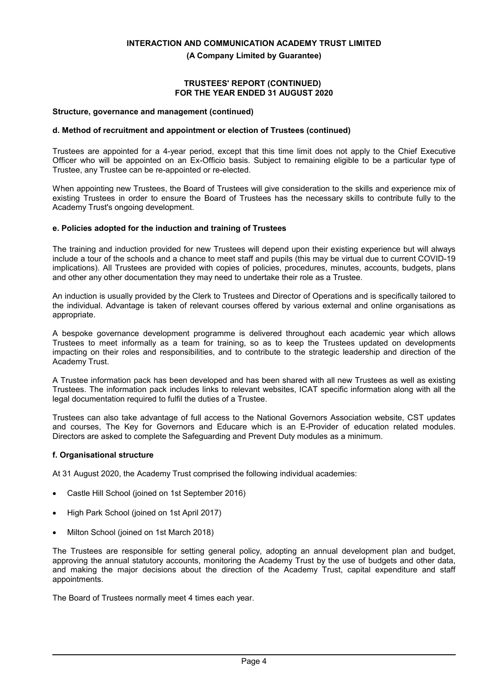**(A Company Limited by Guarantee)**

#### **TRUSTEES' REPORT (CONTINUED) FOR THE YEAR ENDED 31 AUGUST 2020**

#### **Structure, governance and management (continued)**

## **d. Method of recruitment and appointment or election of Trustees (continued)**

Trustees are appointed for a 4-year period, except that this time limit does not apply to the Chief Executive Officer who will be appointed on an Ex-Officio basis. Subject to remaining eligible to be a particular type of Trustee, any Trustee can be re-appointed or re-elected.

When appointing new Trustees, the Board of Trustees will give consideration to the skills and experience mix of existing Trustees in order to ensure the Board of Trustees has the necessary skills to contribute fully to the Academy Trust's ongoing development.

### **e. Policies adopted for the induction and training of Trustees**

The training and induction provided for new Trustees will depend upon their existing experience but will always include a tour of the schools and a chance to meet staff and pupils (this may be virtual due to current COVID-19 implications). All Trustees are provided with copies of policies, procedures, minutes, accounts, budgets, plans and other any other documentation they may need to undertake their role as a Trustee.

An induction is usually provided by the Clerk to Trustees and Director of Operations and is specifically tailored to the individual. Advantage is taken of relevant courses offered by various external and online organisations as appropriate.

A bespoke governance development programme is delivered throughout each academic year which allows Trustees to meet informally as a team for training, so as to keep the Trustees updated on developments impacting on their roles and responsibilities, and to contribute to the strategic leadership and direction of the Academy Trust.

A Trustee information pack has been developed and has been shared with all new Trustees as well as existing Trustees. The information pack includes links to relevant websites, ICAT specific information along with all the legal documentation required to fulfil the duties of a Trustee.

Trustees can also take advantage of full access to the National Governors Association website, CST updates and courses, The Key for Governors and Educare which is an E-Provider of education related modules. Directors are asked to complete the Safeguarding and Prevent Duty modules as a minimum.

## **f. Organisational structure**

At 31 August 2020, the Academy Trust comprised the following individual academies:

- Castle Hill School (joined on 1st September 2016)
- High Park School (joined on 1st April 2017)
- Milton School (joined on 1st March 2018)

The Trustees are responsible for setting general policy, adopting an annual development plan and budget, approving the annual statutory accounts, monitoring the Academy Trust by the use of budgets and other data, and making the major decisions about the direction of the Academy Trust, capital expenditure and staff appointments.

The Board of Trustees normally meet 4 times each year.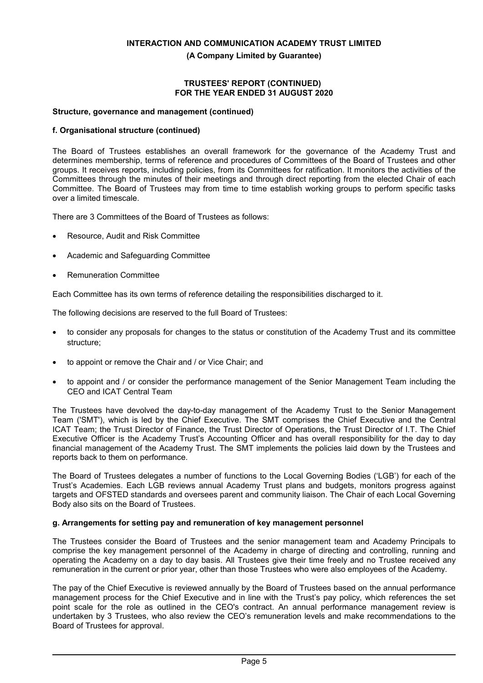**(A Company Limited by Guarantee)**

### **TRUSTEES' REPORT (CONTINUED) FOR THE YEAR ENDED 31 AUGUST 2020**

## **Structure, governance and management (continued)**

## **f. Organisational structure (continued)**

The Board of Trustees establishes an overall framework for the governance of the Academy Trust and determines membership, terms of reference and procedures of Committees of the Board of Trustees and other groups. It receives reports, including policies, from its Committees for ratification. It monitors the activities of the Committees through the minutes of their meetings and through direct reporting from the elected Chair of each Committee. The Board of Trustees may from time to time establish working groups to perform specific tasks over a limited timescale.

There are 3 Committees of the Board of Trustees as follows:

- Resource, Audit and Risk Committee
- Academic and Safeguarding Committee
- Remuneration Committee

Each Committee has its own terms of reference detailing the responsibilities discharged to it.

The following decisions are reserved to the full Board of Trustees:

- to consider any proposals for changes to the status or constitution of the Academy Trust and its committee structure;
- to appoint or remove the Chair and / or Vice Chair; and
- to appoint and / or consider the performance management of the Senior Management Team including the CEO and ICAT Central Team

The Trustees have devolved the day-to-day management of the Academy Trust to the Senior Management Team ('SMT'), which is led by the Chief Executive. The SMT comprises the Chief Executive and the Central ICAT Team; the Trust Director of Finance, the Trust Director of Operations, the Trust Director of I.T. The Chief Executive Officer is the Academy Trust's Accounting Officer and has overall responsibility for the day to day financial management of the Academy Trust. The SMT implements the policies laid down by the Trustees and reports back to them on performance.

The Board of Trustees delegates a number of functions to the Local Governing Bodies ('LGB') for each of the Trust's Academies. Each LGB reviews annual Academy Trust plans and budgets, monitors progress against targets and OFSTED standards and oversees parent and community liaison. The Chair of each Local Governing Body also sits on the Board of Trustees.

#### **g. Arrangements for setting pay and remuneration of key management personnel**

The Trustees consider the Board of Trustees and the senior management team and Academy Principals to comprise the key management personnel of the Academy in charge of directing and controlling, running and operating the Academy on a day to day basis. All Trustees give their time freely and no Trustee received any remuneration in the current or prior year, other than those Trustees who were also employees of the Academy.

The pay of the Chief Executive is reviewed annually by the Board of Trustees based on the annual performance management process for the Chief Executive and in line with the Trust's pay policy, which references the set point scale for the role as outlined in the CEO's contract. An annual performance management review is undertaken by 3 Trustees, who also review the CEO's remuneration levels and make recommendations to the Board of Trustees for approval.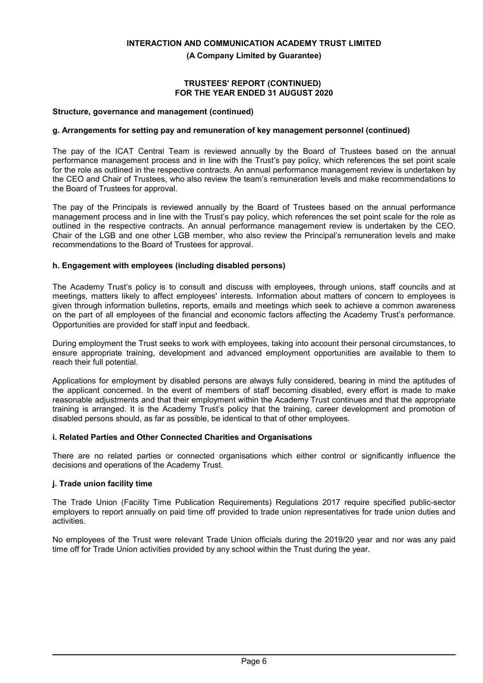**(A Company Limited by Guarantee)**

### **TRUSTEES' REPORT (CONTINUED) FOR THE YEAR ENDED 31 AUGUST 2020**

### **Structure, governance and management (continued)**

## **g. Arrangements for setting pay and remuneration of key management personnel (continued)**

The pay of the ICAT Central Team is reviewed annually by the Board of Trustees based on the annual performance management process and in line with the Trust's pay policy, which references the set point scale for the role as outlined in the respective contracts. An annual performance management review is undertaken by the CEO and Chair of Trustees, who also review the team's remuneration levels and make recommendations to the Board of Trustees for approval.

The pay of the Principals is reviewed annually by the Board of Trustees based on the annual performance management process and in line with the Trust's pay policy, which references the set point scale for the role as outlined in the respective contracts. An annual performance management review is undertaken by the CEO, Chair of the LGB and one other LGB member, who also review the Principal's remuneration levels and make recommendations to the Board of Trustees for approval.

## **h. Engagement with employees (including disabled persons)**

The Academy Trust's policy is to consult and discuss with employees, through unions, staff councils and at meetings, matters likely to affect employees' interests. Information about matters of concern to employees is given through information bulletins, reports, emails and meetings which seek to achieve a common awareness on the part of all employees of the financial and economic factors affecting the Academy Trust's performance. Opportunities are provided for staff input and feedback.

During employment the Trust seeks to work with employees, taking into account their personal circumstances, to ensure appropriate training, development and advanced employment opportunities are available to them to reach their full potential.

Applications for employment by disabled persons are always fully considered, bearing in mind the aptitudes of the applicant concerned. In the event of members of staff becoming disabled, every effort is made to make reasonable adjustments and that their employment within the Academy Trust continues and that the appropriate training is arranged. It is the Academy Trust's policy that the training, career development and promotion of disabled persons should, as far as possible, be identical to that of other employees.

## **i. Related Parties and Other Connected Charities and Organisations**

There are no related parties or connected organisations which either control or significantly influence the decisions and operations of the Academy Trust.

## **j. Trade union facility time**

The Trade Union (Facility Time Publication Requirements) Regulations 2017 require specified public-sector employers to report annually on paid time off provided to trade union representatives for trade union duties and activities.

No employees of the Trust were relevant Trade Union officials during the 2019/20 year and nor was any paid time off for Trade Union activities provided by any school within the Trust during the year.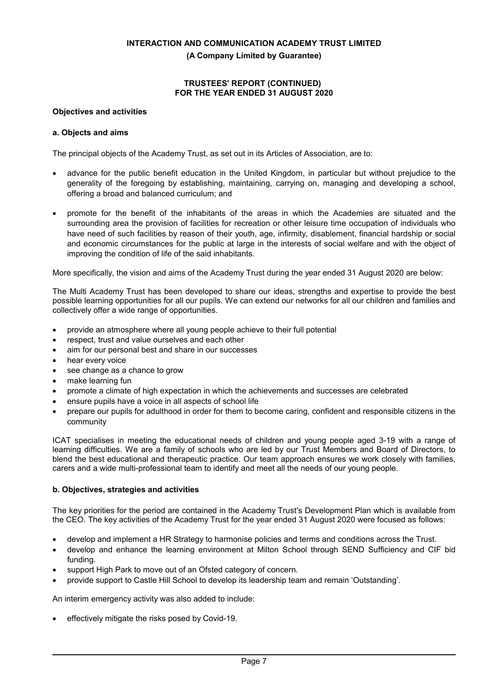**(A Company Limited by Guarantee)**

## **TRUSTEES' REPORT (CONTINUED) FOR THE YEAR ENDED 31 AUGUST 2020**

## **Objectives and activities**

## **a. Objects and aims**

The principal objects of the Academy Trust, as set out in its Articles of Association, are to:

- advance for the public benefit education in the United Kingdom, in particular but without prejudice to the generality of the foregoing by establishing, maintaining, carrying on, managing and developing a school, offering a broad and balanced curriculum; and
- promote for the benefit of the inhabitants of the areas in which the Academies are situated and the surrounding area the provision of facilities for recreation or other leisure time occupation of individuals who have need of such facilities by reason of their youth, age, infirmity, disablement, financial hardship or social and economic circumstances for the public at large in the interests of social welfare and with the object of improving the condition of life of the said inhabitants.

More specifically, the vision and aims of the Academy Trust during the year ended 31 August 2020 are below:

The Multi Academy Trust has been developed to share our ideas, strengths and expertise to provide the best possible learning opportunities for all our pupils. We can extend our networks for all our children and families and collectively offer a wide range of opportunities.

- provide an atmosphere where all young people achieve to their full potential
- respect, trust and value ourselves and each other
- aim for our personal best and share in our successes
- hear every voice
- see change as a chance to grow
- make learning fun
- promote a climate of high expectation in which the achievements and successes are celebrated
- ensure pupils have a voice in all aspects of school life
- prepare our pupils for adulthood in order for them to become caring, confident and responsible citizens in the community

ICAT specialises in meeting the educational needs of children and young people aged 3-19 with a range of learning difficulties. We are a family of schools who are led by our Trust Members and Board of Directors, to blend the best educational and therapeutic practice. Our team approach ensures we work closely with families, carers and a wide multi-professional team to identify and meet all the needs of our young people.

## **b. Objectives, strategies and activities**

The key priorities for the period are contained in the Academy Trust's Development Plan which is available from the CEO. The key activities of the Academy Trust for the year ended 31 August 2020 were focused as follows:

- develop and implement a HR Strategy to harmonise policies and terms and conditions across the Trust.
- develop and enhance the learning environment at Milton School through SEND Sufficiency and CIF bid funding.
- support High Park to move out of an Ofsted category of concern.
- provide support to Castle Hill School to develop its leadership team and remain 'Outstanding'.

An interim emergency activity was also added to include:

effectively mitigate the risks posed by Covid-19.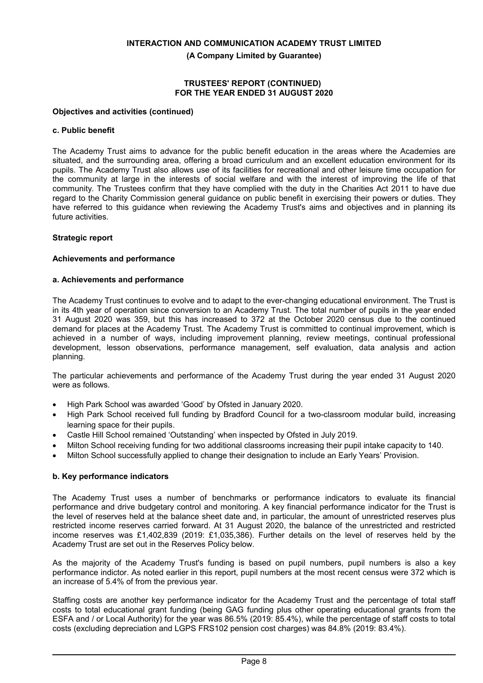**(A Company Limited by Guarantee)**

## **TRUSTEES' REPORT (CONTINUED) FOR THE YEAR ENDED 31 AUGUST 2020**

## **Objectives and activities (continued)**

## **c. Public benefit**

The Academy Trust aims to advance for the public benefit education in the areas where the Academies are situated, and the surrounding area, offering a broad curriculum and an excellent education environment for its pupils. The Academy Trust also allows use of its facilities for recreational and other leisure time occupation for the community at large in the interests of social welfare and with the interest of improving the life of that community. The Trustees confirm that they have complied with the duty in the Charities Act 2011 to have due regard to the Charity Commission general guidance on public benefit in exercising their powers or duties. They have referred to this guidance when reviewing the Academy Trust's aims and objectives and in planning its future activities.

## **Strategic report**

### **Achievements and performance**

### **a. Achievements and performance**

The Academy Trust continues to evolve and to adapt to the ever-changing educational environment. The Trust is in its 4th year of operation since conversion to an Academy Trust. The total number of pupils in the year ended 31 August 2020 was 359, but this has increased to 372 at the October 2020 census due to the continued demand for places at the Academy Trust. The Academy Trust is committed to continual improvement, which is achieved in a number of ways, including improvement planning, review meetings, continual professional development, lesson observations, performance management, self evaluation, data analysis and action planning.

The particular achievements and performance of the Academy Trust during the year ended 31 August 2020 were as follows.

- High Park School was awarded 'Good' by Ofsted in January 2020.
- High Park School received full funding by Bradford Council for a two-classroom modular build, increasing learning space for their pupils.
- Castle Hill School remained 'Outstanding' when inspected by Ofsted in July 2019.
- Milton School receiving funding for two additional classrooms increasing their pupil intake capacity to 140.
- Milton School successfully applied to change their designation to include an Early Years' Provision.

## **b. Key performance indicators**

The Academy Trust uses a number of benchmarks or performance indicators to evaluate its financial performance and drive budgetary control and monitoring. A key financial performance indicator for the Trust is the level of reserves held at the balance sheet date and, in particular, the amount of unrestricted reserves plus restricted income reserves carried forward. At 31 August 2020, the balance of the unrestricted and restricted income reserves was £1,402,839 (2019: £1,035,386). Further details on the level of reserves held by the Academy Trust are set out in the Reserves Policy below.

As the majority of the Academy Trust's funding is based on pupil numbers, pupil numbers is also a key performance indictor. As noted earlier in this report, pupil numbers at the most recent census were 372 which is an increase of 5.4% of from the previous year.

Staffing costs are another key performance indicator for the Academy Trust and the percentage of total staff costs to total educational grant funding (being GAG funding plus other operating educational grants from the ESFA and / or Local Authority) for the year was 86.5% (2019: 85.4%), while the percentage of staff costs to total costs (excluding depreciation and LGPS FRS102 pension cost charges) was 84.8% (2019: 83.4%).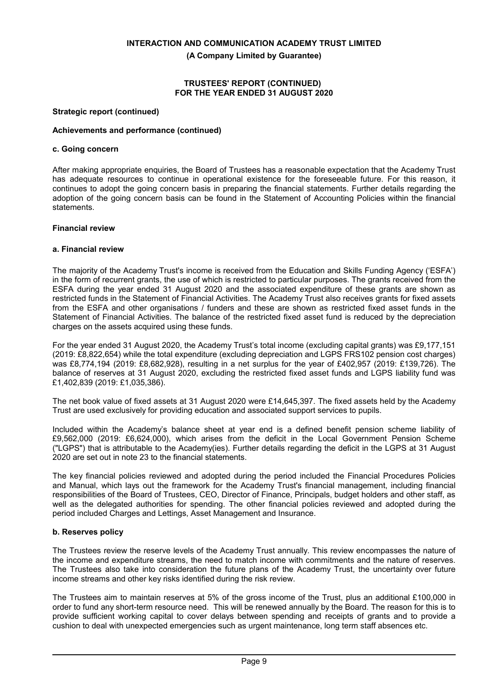**(A Company Limited by Guarantee)**

### **TRUSTEES' REPORT (CONTINUED) FOR THE YEAR ENDED 31 AUGUST 2020**

## **Strategic report (continued)**

## **Achievements and performance (continued)**

### **c. Going concern**

After making appropriate enquiries, the Board of Trustees has a reasonable expectation that the Academy Trust has adequate resources to continue in operational existence for the foreseeable future. For this reason, it continues to adopt the going concern basis in preparing the financial statements. Further details regarding the adoption of the going concern basis can be found in the Statement of Accounting Policies within the financial statements.

## **Financial review**

### **a. Financial review**

The majority of the Academy Trust's income is received from the Education and Skills Funding Agency ('ESFA') in the form of recurrent grants, the use of which is restricted to particular purposes. The grants received from the ESFA during the year ended 31 August 2020 and the associated expenditure of these grants are shown as restricted funds in the Statement of Financial Activities. The Academy Trust also receives grants for fixed assets from the ESFA and other organisations / funders and these are shown as restricted fixed asset funds in the Statement of Financial Activities. The balance of the restricted fixed asset fund is reduced by the depreciation charges on the assets acquired using these funds.

For the year ended 31 August 2020, the Academy Trust's total income (excluding capital grants) was £9,177,151 (2019: £8,822,654) while the total expenditure (excluding depreciation and LGPS FRS102 pension cost charges) was £8,774,194 (2019: £8,682,928), resulting in a net surplus for the year of £402,957 (2019: £139,726). The balance of reserves at 31 August 2020, excluding the restricted fixed asset funds and LGPS liability fund was £1,402,839 (2019: £1,035,386).

The net book value of fixed assets at 31 August 2020 were £14,645,397. The fixed assets held by the Academy Trust are used exclusively for providing education and associated support services to pupils.

Included within the Academy's balance sheet at year end is a defined benefit pension scheme liability of £9,562,000 (2019: £6,624,000), which arises from the deficit in the Local Government Pension Scheme ("LGPS") that is attributable to the Academy(ies). Further details regarding the deficit in the LGPS at 31 August 2020 are set out in note 23 to the financial statements.

The key financial policies reviewed and adopted during the period included the Financial Procedures Policies and Manual, which lays out the framework for the Academy Trust's financial management, including financial responsibilities of the Board of Trustees, CEO, Director of Finance, Principals, budget holders and other staff, as well as the delegated authorities for spending. The other financial policies reviewed and adopted during the period included Charges and Lettings, Asset Management and Insurance.

## **b. Reserves policy**

The Trustees review the reserve levels of the Academy Trust annually. This review encompasses the nature of the income and expenditure streams, the need to match income with commitments and the nature of reserves. The Trustees also take into consideration the future plans of the Academy Trust, the uncertainty over future income streams and other key risks identified during the risk review.

The Trustees aim to maintain reserves at 5% of the gross income of the Trust, plus an additional £100,000 in order to fund any short-term resource need. This will be renewed annually by the Board. The reason for this is to provide sufficient working capital to cover delays between spending and receipts of grants and to provide a cushion to deal with unexpected emergencies such as urgent maintenance, long term staff absences etc.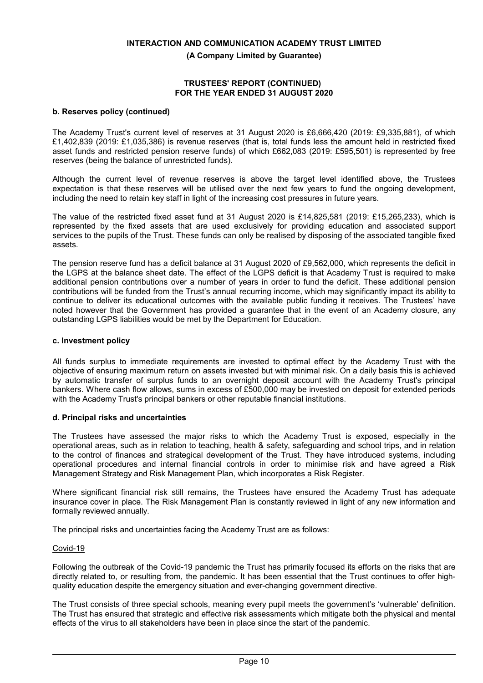**(A Company Limited by Guarantee)**

### **TRUSTEES' REPORT (CONTINUED) FOR THE YEAR ENDED 31 AUGUST 2020**

## **b. Reserves policy (continued)**

The Academy Trust's current level of reserves at 31 August 2020 is £6,666,420 (2019: £9,335,881), of which £1,402,839 (2019: £1,035,386) is revenue reserves (that is, total funds less the amount held in restricted fixed asset funds and restricted pension reserve funds) of which £662,083 (2019: £595,501) is represented by free reserves (being the balance of unrestricted funds).

Although the current level of revenue reserves is above the target level identified above, the Trustees expectation is that these reserves will be utilised over the next few years to fund the ongoing development, including the need to retain key staff in light of the increasing cost pressures in future years.

The value of the restricted fixed asset fund at 31 August 2020 is £14,825,581 (2019: £15,265,233), which is represented by the fixed assets that are used exclusively for providing education and associated support services to the pupils of the Trust. These funds can only be realised by disposing of the associated tangible fixed assets.

The pension reserve fund has a deficit balance at 31 August 2020 of £9,562,000, which represents the deficit in the LGPS at the balance sheet date. The effect of the LGPS deficit is that Academy Trust is required to make additional pension contributions over a number of years in order to fund the deficit. These additional pension contributions will be funded from the Trust's annual recurring income, which may significantly impact its ability to continue to deliver its educational outcomes with the available public funding it receives. The Trustees' have noted however that the Government has provided a guarantee that in the event of an Academy closure, any outstanding LGPS liabilities would be met by the Department for Education.

### **c. Investment policy**

All funds surplus to immediate requirements are invested to optimal effect by the Academy Trust with the objective of ensuring maximum return on assets invested but with minimal risk. On a daily basis this is achieved by automatic transfer of surplus funds to an overnight deposit account with the Academy Trust's principal bankers. Where cash flow allows, sums in excess of £500,000 may be invested on deposit for extended periods with the Academy Trust's principal bankers or other reputable financial institutions.

### **d. Principal risks and uncertainties**

The Trustees have assessed the major risks to which the Academy Trust is exposed, especially in the operational areas, such as in relation to teaching, health & safety, safeguarding and school trips, and in relation to the control of finances and strategical development of the Trust. They have introduced systems, including operational procedures and internal financial controls in order to minimise risk and have agreed a Risk Management Strategy and Risk Management Plan, which incorporates a Risk Register.

Where significant financial risk still remains, the Trustees have ensured the Academy Trust has adequate insurance cover in place. The Risk Management Plan is constantly reviewed in light of any new information and formally reviewed annually.

The principal risks and uncertainties facing the Academy Trust are as follows:

## Covid-19

Following the outbreak of the Covid-19 pandemic the Trust has primarily focused its efforts on the risks that are directly related to, or resulting from, the pandemic. It has been essential that the Trust continues to offer highquality education despite the emergency situation and ever-changing government directive.

The Trust consists of three special schools, meaning every pupil meets the government's 'vulnerable' definition. The Trust has ensured that strategic and effective risk assessments which mitigate both the physical and mental effects of the virus to all stakeholders have been in place since the start of the pandemic.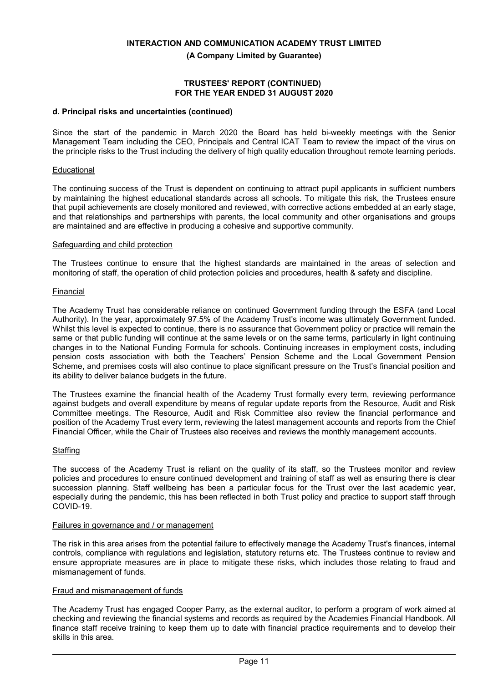**(A Company Limited by Guarantee)**

### **TRUSTEES' REPORT (CONTINUED) FOR THE YEAR ENDED 31 AUGUST 2020**

#### **d. Principal risks and uncertainties (continued)**

Since the start of the pandemic in March 2020 the Board has held bi-weekly meetings with the Senior Management Team including the CEO, Principals and Central ICAT Team to review the impact of the virus on the principle risks to the Trust including the delivery of high quality education throughout remote learning periods.

### **Educational**

The continuing success of the Trust is dependent on continuing to attract pupil applicants in sufficient numbers by maintaining the highest educational standards across all schools. To mitigate this risk, the Trustees ensure that pupil achievements are closely monitored and reviewed, with corrective actions embedded at an early stage, and that relationships and partnerships with parents, the local community and other organisations and groups are maintained and are effective in producing a cohesive and supportive community.

#### Safeguarding and child protection

The Trustees continue to ensure that the highest standards are maintained in the areas of selection and monitoring of staff, the operation of child protection policies and procedures, health & safety and discipline.

#### Financial

The Academy Trust has considerable reliance on continued Government funding through the ESFA (and Local Authority). In the year, approximately 97.5% of the Academy Trust's income was ultimately Government funded. Whilst this level is expected to continue, there is no assurance that Government policy or practice will remain the same or that public funding will continue at the same levels or on the same terms, particularly in light continuing changes in to the National Funding Formula for schools. Continuing increases in employment costs, including pension costs association with both the Teachers' Pension Scheme and the Local Government Pension Scheme, and premises costs will also continue to place significant pressure on the Trust's financial position and its ability to deliver balance budgets in the future.

The Trustees examine the financial health of the Academy Trust formally every term, reviewing performance against budgets and overall expenditure by means of regular update reports from the Resource, Audit and Risk Committee meetings. The Resource, Audit and Risk Committee also review the financial performance and position of the Academy Trust every term, reviewing the latest management accounts and reports from the Chief Financial Officer, while the Chair of Trustees also receives and reviews the monthly management accounts.

#### Staffing

The success of the Academy Trust is reliant on the quality of its staff, so the Trustees monitor and review policies and procedures to ensure continued development and training of staff as well as ensuring there is clear succession planning. Staff wellbeing has been a particular focus for the Trust over the last academic year, especially during the pandemic, this has been reflected in both Trust policy and practice to support staff through COVID-19.

#### Failures in governance and / or management

The risk in this area arises from the potential failure to effectively manage the Academy Trust's finances, internal controls, compliance with regulations and legislation, statutory returns etc. The Trustees continue to review and ensure appropriate measures are in place to mitigate these risks, which includes those relating to fraud and mismanagement of funds.

#### Fraud and mismanagement of funds

The Academy Trust has engaged Cooper Parry, as the external auditor, to perform a program of work aimed at checking and reviewing the financial systems and records as required by the Academies Financial Handbook. All finance staff receive training to keep them up to date with financial practice requirements and to develop their skills in this area.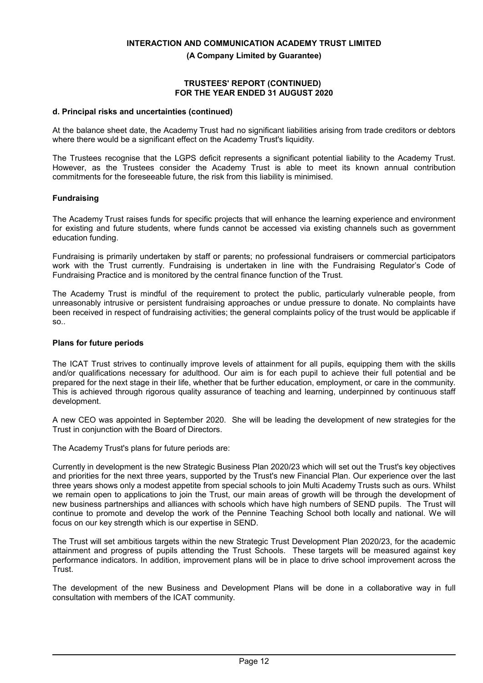**(A Company Limited by Guarantee)**

### **TRUSTEES' REPORT (CONTINUED) FOR THE YEAR ENDED 31 AUGUST 2020**

### **d. Principal risks and uncertainties (continued)**

At the balance sheet date, the Academy Trust had no significant liabilities arising from trade creditors or debtors where there would be a significant effect on the Academy Trust's liquidity.

The Trustees recognise that the LGPS deficit represents a significant potential liability to the Academy Trust. However, as the Trustees consider the Academy Trust is able to meet its known annual contribution commitments for the foreseeable future, the risk from this liability is minimised.

## **Fundraising**

The Academy Trust raises funds for specific projects that will enhance the learning experience and environment for existing and future students, where funds cannot be accessed via existing channels such as government education funding.

Fundraising is primarily undertaken by staff or parents; no professional fundraisers or commercial participators work with the Trust currently. Fundraising is undertaken in line with the Fundraising Regulator's Code of Fundraising Practice and is monitored by the central finance function of the Trust.

The Academy Trust is mindful of the requirement to protect the public, particularly vulnerable people, from unreasonably intrusive or persistent fundraising approaches or undue pressure to donate. No complaints have been received in respect of fundraising activities; the general complaints policy of the trust would be applicable if so..

## **Plans for future periods**

The ICAT Trust strives to continually improve levels of attainment for all pupils, equipping them with the skills and/or qualifications necessary for adulthood. Our aim is for each pupil to achieve their full potential and be prepared for the next stage in their life, whether that be further education, employment, or care in the community. This is achieved through rigorous quality assurance of teaching and learning, underpinned by continuous staff development.

A new CEO was appointed in September 2020. She will be leading the development of new strategies for the Trust in conjunction with the Board of Directors.

The Academy Trust's plans for future periods are:

Currently in development is the new Strategic Business Plan 2020/23 which will set out the Trust's key objectives and priorities for the next three years, supported by the Trust's new Financial Plan. Our experience over the last three years shows only a modest appetite from special schools to join Multi Academy Trusts such as ours. Whilst we remain open to applications to join the Trust, our main areas of growth will be through the development of new business partnerships and alliances with schools which have high numbers of SEND pupils. The Trust will continue to promote and develop the work of the Pennine Teaching School both locally and national. We will focus on our key strength which is our expertise in SEND.

The Trust will set ambitious targets within the new Strategic Trust Development Plan 2020/23, for the academic attainment and progress of pupils attending the Trust Schools. These targets will be measured against key performance indicators. In addition, improvement plans will be in place to drive school improvement across the Trust.

The development of the new Business and Development Plans will be done in a collaborative way in full consultation with members of the ICAT community.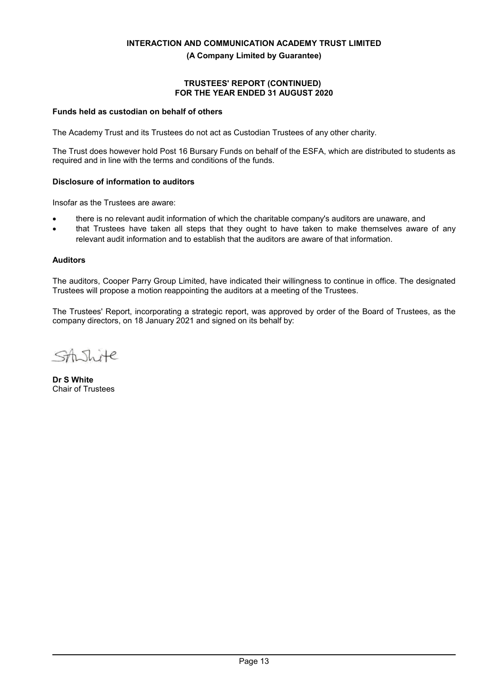## **TRUSTEES' REPORT (CONTINUED) FOR THE YEAR ENDED 31 AUGUST 2020**

## **Funds held as custodian on behalf of others**

The Academy Trust and its Trustees do not act as Custodian Trustees of any other charity.

The Trust does however hold Post 16 Bursary Funds on behalf of the ESFA, which are distributed to students as required and in line with the terms and conditions of the funds.

### **Disclosure of information to auditors**

Insofar as the Trustees are aware:

- there is no relevant audit information of which the charitable company's auditors are unaware, and
- that Trustees have taken all steps that they ought to have taken to make themselves aware of any relevant audit information and to establish that the auditors are aware of that information.

#### **Auditors**

The auditors, Cooper Parry Group Limited, have indicated their willingness to continue in office. The designated Trustees will propose a motion reappointing the auditors at a meeting of the Trustees.

The Trustees' Report, incorporating a strategic report, was approved by order of the Board of Trustees, as the company directors, on 18 January 2021 and signed on its behalf by:

 $\lambda$  $He$ 

**Dr S White** Chair of Trustees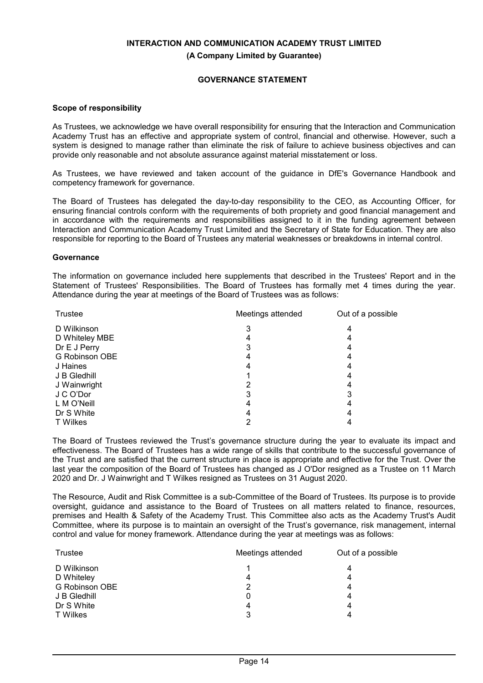## **GOVERNANCE STATEMENT**

#### **Scope of responsibility**

As Trustees, we acknowledge we have overall responsibility for ensuring that the Interaction and Communication Academy Trust has an effective and appropriate system of control, financial and otherwise. However, such a system is designed to manage rather than eliminate the risk of failure to achieve business objectives and can provide only reasonable and not absolute assurance against material misstatement or loss.

As Trustees, we have reviewed and taken account of the guidance in DfE's Governance Handbook and competency framework for governance.

The Board of Trustees has delegated the day-to-day responsibility to the CEO, as Accounting Officer, for ensuring financial controls conform with the requirements of both propriety and good financial management and in accordance with the requirements and responsibilities assigned to it in the funding agreement between Interaction and Communication Academy Trust Limited and the Secretary of State for Education. They are also responsible for reporting to the Board of Trustees any material weaknesses or breakdowns in internal control.

#### **Governance**

The information on governance included here supplements that described in the Trustees' Report and in the Statement of Trustees' Responsibilities. The Board of Trustees has formally met 4 times during the year. Attendance during the year at meetings of the Board of Trustees was as follows:

| <b>Trustee</b><br>Meetings attended |  | Out of a possible |  |
|-------------------------------------|--|-------------------|--|
| D Wilkinson                         |  | 4                 |  |
| D Whiteley MBE                      |  |                   |  |
| Dr E J Perry                        |  |                   |  |
| <b>G Robinson OBE</b>               |  |                   |  |
| J Haines                            |  |                   |  |
| J B Gledhill                        |  |                   |  |
| J Wainwright                        |  |                   |  |
| J C O'Dor                           |  |                   |  |
| L M O'Neill                         |  |                   |  |
| Dr S White                          |  | 4                 |  |
| <b>T</b> Wilkes                     |  |                   |  |

The Board of Trustees reviewed the Trust's governance structure during the year to evaluate its impact and effectiveness. The Board of Trustees has a wide range of skills that contribute to the successful governance of the Trust and are satisfied that the current structure in place is appropriate and effective for the Trust. Over the last year the composition of the Board of Trustees has changed as J O'Dor resigned as a Trustee on 11 March 2020 and Dr. J Wainwright and T Wilkes resigned as Trustees on 31 August 2020.

The Resource, Audit and Risk Committee is a sub-Committee of the Board of Trustees. Its purpose is to provide oversight, guidance and assistance to the Board of Trustees on all matters related to finance, resources, premises and Health & Safety of the Academy Trust. This Committee also acts as the Academy Trust's Audit Committee, where its purpose is to maintain an oversight of the Trust's governance, risk management, internal control and value for money framework. Attendance during the year at meetings was as follows:

| Meetings attended<br>Trustee |   | Out of a possible |  |  |
|------------------------------|---|-------------------|--|--|
| D Wilkinson                  |   | 4                 |  |  |
| D Whiteley                   | 4 | 4                 |  |  |
| G Robinson OBE               |   | 4                 |  |  |
| J B Gledhill                 | 0 | 4                 |  |  |
| Dr S White                   | 4 | 4                 |  |  |
| T Wilkes                     | 3 |                   |  |  |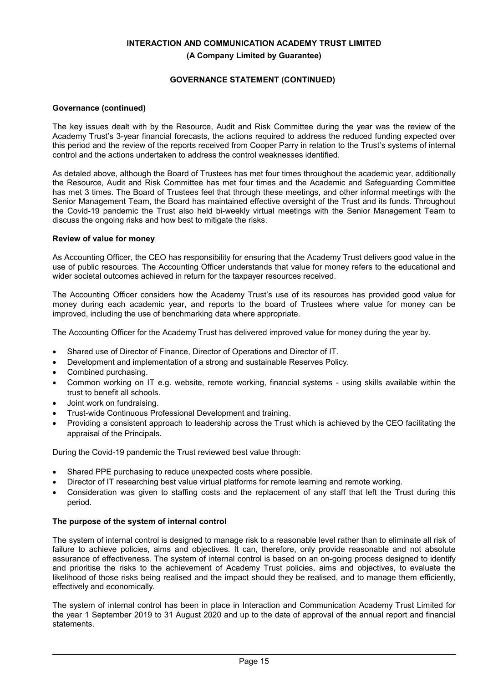## **GOVERNANCE STATEMENT (CONTINUED)**

## **Governance (continued)**

The key issues dealt with by the Resource, Audit and Risk Committee during the year was the review of the Academy Trust's 3-year financial forecasts, the actions required to address the reduced funding expected over this period and the review of the reports received from Cooper Parry in relation to the Trust's systems of internal control and the actions undertaken to address the control weaknesses identified.

As detaled above, although the Board of Trustees has met four times throughout the academic year, additionally the Resource, Audit and Risk Committee has met four times and the Academic and Safeguarding Committee has met 3 times. The Board of Trustees feel that through these meetings, and other informal meetings with the Senior Management Team, the Board has maintained effective oversight of the Trust and its funds. Throughout the Covid-19 pandemic the Trust also held bi-weekly virtual meetings with the Senior Management Team to discuss the ongoing risks and how best to mitigate the risks.

### **Review of value for money**

As Accounting Officer, the CEO has responsibility for ensuring that the Academy Trust delivers good value in the use of public resources. The Accounting Officer understands that value for money refers to the educational and wider societal outcomes achieved in return for the taxpayer resources received.

The Accounting Officer considers how the Academy Trust's use of its resources has provided good value for money during each academic year, and reports to the board of Trustees where value for money can be improved, including the use of benchmarking data where appropriate.

The Accounting Officer for the Academy Trust has delivered improved value for money during the year by.

- Shared use of Director of Finance, Director of Operations and Director of IT.
- Development and implementation of a strong and sustainable Reserves Policy.
- Combined purchasing.
- Common working on IT e.g. website, remote working, financial systems using skills available within the trust to benefit all schools.
- Joint work on fundraising.
- Trust-wide Continuous Professional Development and training.
- Providing a consistent approach to leadership across the Trust which is achieved by the CEO facilitating the appraisal of the Principals.

During the Covid-19 pandemic the Trust reviewed best value through:

- Shared PPE purchasing to reduce unexpected costs where possible.
- Director of IT researching best value virtual platforms for remote learning and remote working.
- Consideration was given to staffing costs and the replacement of any staff that left the Trust during this period.

## **The purpose of the system of internal control**

The system of internal control is designed to manage risk to a reasonable level rather than to eliminate all risk of failure to achieve policies, aims and objectives. It can, therefore, only provide reasonable and not absolute assurance of effectiveness. The system of internal control is based on an on-going process designed to identify and prioritise the risks to the achievement of Academy Trust policies, aims and objectives, to evaluate the likelihood of those risks being realised and the impact should they be realised, and to manage them efficiently, effectively and economically.

The system of internal control has been in place in Interaction and Communication Academy Trust Limited for the year 1 September 2019 to 31 August 2020 and up to the date of approval of the annual report and financial statements.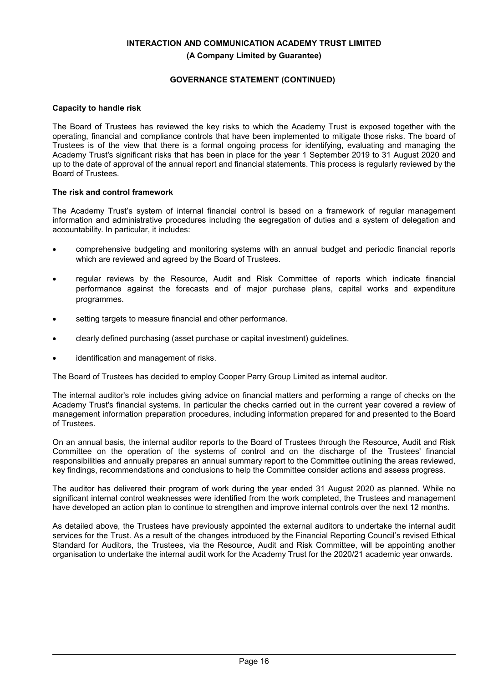## **GOVERNANCE STATEMENT (CONTINUED)**

## **Capacity to handle risk**

The Board of Trustees has reviewed the key risks to which the Academy Trust is exposed together with the operating, financial and compliance controls that have been implemented to mitigate those risks. The board of Trustees is of the view that there is a formal ongoing process for identifying, evaluating and managing the Academy Trust's significant risks that has been in place for the year 1 September 2019 to 31 August 2020 and up to the date of approval of the annual report and financial statements. This process is regularly reviewed by the Board of Trustees.

## **The risk and control framework**

The Academy Trust's system of internal financial control is based on a framework of regular management information and administrative procedures including the segregation of duties and a system of delegation and accountability. In particular, it includes:

- comprehensive budgeting and monitoring systems with an annual budget and periodic financial reports which are reviewed and agreed by the Board of Trustees.
- regular reviews by the Resource, Audit and Risk Committee of reports which indicate financial performance against the forecasts and of major purchase plans, capital works and expenditure programmes.
- setting targets to measure financial and other performance.
- clearly defined purchasing (asset purchase or capital investment) guidelines.
- identification and management of risks.

The Board of Trustees has decided to employ Cooper Parry Group Limited as internal auditor.

The internal auditor's role includes giving advice on financial matters and performing a range of checks on the Academy Trust's financial systems. In particular the checks carried out in the current year covered a review of management information preparation procedures, including information prepared for and presented to the Board of Trustees.

On an annual basis, the internal auditor reports to the Board of Trustees through the Resource, Audit and Risk Committee on the operation of the systems of control and on the discharge of the Trustees' financial responsibilities and annually prepares an annual summary report to the Committee outlining the areas reviewed, key findings, recommendations and conclusions to help the Committee consider actions and assess progress.

The auditor has delivered their program of work during the year ended 31 August 2020 as planned. While no significant internal control weaknesses were identified from the work completed, the Trustees and management have developed an action plan to continue to strengthen and improve internal controls over the next 12 months.

As detailed above, the Trustees have previously appointed the external auditors to undertake the internal audit services for the Trust. As a result of the changes introduced by the Financial Reporting Council's revised Ethical Standard for Auditors, the Trustees, via the Resource, Audit and Risk Committee, will be appointing another organisation to undertake the internal audit work for the Academy Trust for the 2020/21 academic year onwards.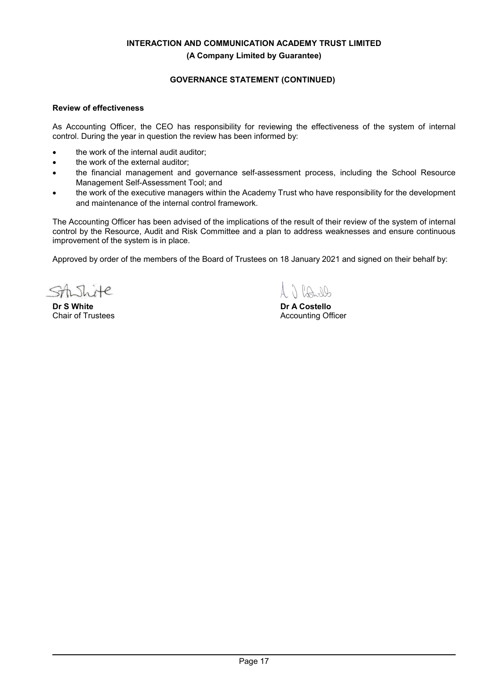## **GOVERNANCE STATEMENT (CONTINUED)**

## **Review of effectiveness**

As Accounting Officer, the CEO has responsibility for reviewing the effectiveness of the system of internal control. During the year in question the review has been informed by:

- the work of the internal audit auditor;
- the work of the external auditor;
- the financial management and governance self-assessment process, including the School Resource Management Self-Assessment Tool; and
- the work of the executive managers within the Academy Trust who have responsibility for the development and maintenance of the internal control framework.

The Accounting Officer has been advised of the implications of the result of their review of the system of internal control by the Resource, Audit and Risk Committee and a plan to address weaknesses and ensure continuous improvement of the system is in place.

Approved by order of the members of the Board of Trustees on 18 January 2021 and signed on their behalf by:

Ŧе N.

**Dr S White** Chair of Trustees

7 PA NO

**Dr A Costello** Accounting Officer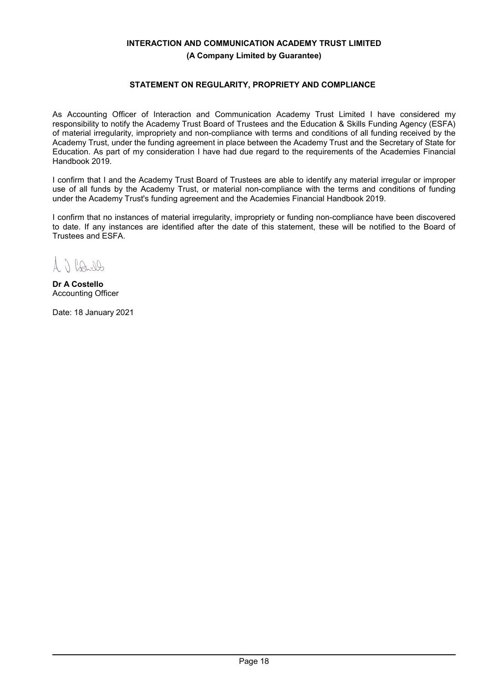## **STATEMENT ON REGULARITY, PROPRIETY AND COMPLIANCE**

As Accounting Officer of Interaction and Communication Academy Trust Limited I have considered my responsibility to notify the Academy Trust Board of Trustees and the Education & Skills Funding Agency (ESFA) of material irregularity, impropriety and non-compliance with terms and conditions of all funding received by the Academy Trust, under the funding agreement in place between the Academy Trust and the Secretary of State for Education. As part of my consideration I have had due regard to the requirements of the Academies Financial Handbook 2019.

I confirm that I and the Academy Trust Board of Trustees are able to identify any material irregular or improper use of all funds by the Academy Trust, or material non-compliance with the terms and conditions of funding under the Academy Trust's funding agreement and the Academies Financial Handbook 2019.

I confirm that no instances of material irregularity, impropriety or funding non-compliance have been discovered to date. If any instances are identified after the date of this statement, these will be notified to the Board of Trustees and ESFA.

 $A \cap RA$ 

**Dr A Costello** Accounting Officer

Date: 18 January 2021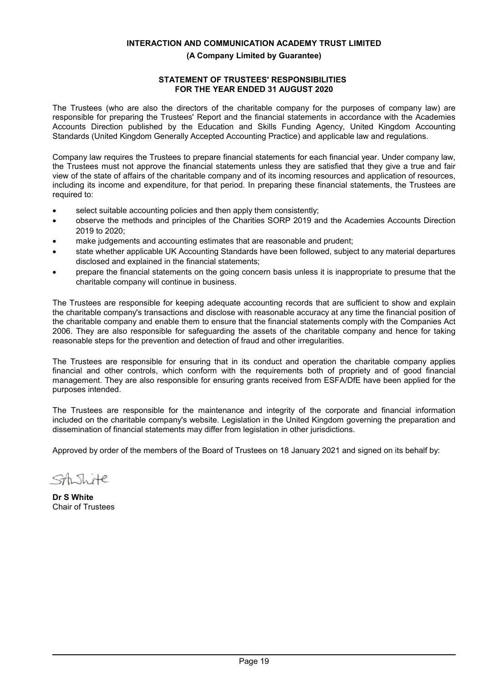## **STATEMENT OF TRUSTEES' RESPONSIBILITIES FOR THE YEAR ENDED 31 AUGUST 2020**

The Trustees (who are also the directors of the charitable company for the purposes of company law) are responsible for preparing the Trustees' Report and the financial statements in accordance with the Academies Accounts Direction published by the Education and Skills Funding Agency, United Kingdom Accounting Standards (United Kingdom Generally Accepted Accounting Practice) and applicable law and regulations.

Company law requires the Trustees to prepare financial statements for each financial year. Under company law, the Trustees must not approve the financial statements unless they are satisfied that they give a true and fair view of the state of affairs of the charitable company and of its incoming resources and application of resources, including its income and expenditure, for that period. In preparing these financial statements, the Trustees are required to:

- select suitable accounting policies and then apply them consistently;
- observe the methods and principles of the Charities SORP 2019 and the Academies Accounts Direction 2019 to 2020;
- make judgements and accounting estimates that are reasonable and prudent;
- state whether applicable UK Accounting Standards have been followed, subject to any material departures disclosed and explained in the financial statements;
- prepare the financial statements on the going concern basis unless it is inappropriate to presume that the charitable company will continue in business.

The Trustees are responsible for keeping adequate accounting records that are sufficient to show and explain the charitable company's transactions and disclose with reasonable accuracy at any time the financial position of the charitable company and enable them to ensure that the financial statements comply with the Companies Act 2006. They are also responsible for safeguarding the assets of the charitable company and hence for taking reasonable steps for the prevention and detection of fraud and other irregularities.

The Trustees are responsible for ensuring that in its conduct and operation the charitable company applies financial and other controls, which conform with the requirements both of propriety and of good financial management. They are also responsible for ensuring grants received from ESFA/DfE have been applied for the purposes intended.

The Trustees are responsible for the maintenance and integrity of the corporate and financial information included on the charitable company's website. Legislation in the United Kingdom governing the preparation and dissemination of financial statements may differ from legislation in other jurisdictions.

Approved by order of the members of the Board of Trustees on 18 January 2021 and signed on its behalf by:

SA Thite

**Dr S White** Chair of Trustees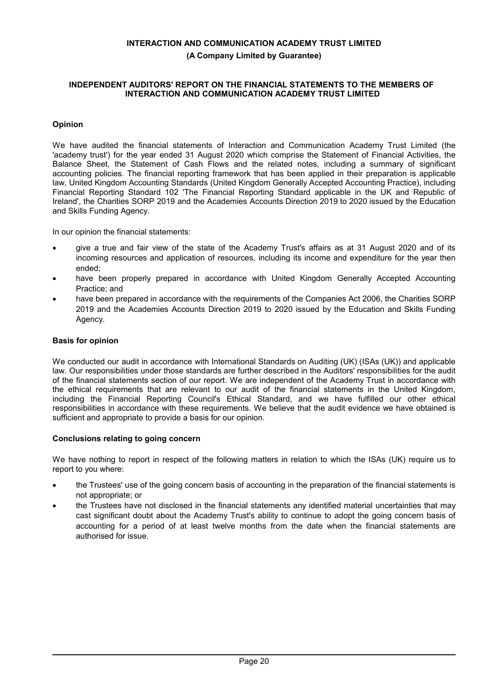## **INDEPENDENT AUDITORS' REPORT ON THE FINANCIAL STATEMENTS TO THE MEMBERS OF INTERACTION AND COMMUNICATION ACADEMY TRUST LIMITED**

## **Opinion**

We have audited the financial statements of Interaction and Communication Academy Trust Limited (the 'academy trust') for the year ended 31 August 2020 which comprise the Statement of Financial Activities, the Balance Sheet, the Statement of Cash Flows and the related notes, including a summary of significant accounting policies. The financial reporting framework that has been applied in their preparation is applicable law, United Kingdom Accounting Standards (United Kingdom Generally Accepted Accounting Practice), including Financial Reporting Standard 102 'The Financial Reporting Standard applicable in the UK and Republic of Ireland', the Charities SORP 2019 and the Academies Accounts Direction 2019 to 2020 issued by the Education and Skills Funding Agency.

In our opinion the financial statements:

- give a true and fair view of the state of the Academy Trust's affairs as at 31 August 2020 and of its incoming resources and application of resources, including its income and expenditure for the year then ended;
- have been properly prepared in accordance with United Kingdom Generally Accepted Accounting Practice; and
- have been prepared in accordance with the requirements of the Companies Act 2006, the Charities SORP 2019 and the Academies Accounts Direction 2019 to 2020 issued by the Education and Skills Funding Agency.

## **Basis for opinion**

We conducted our audit in accordance with International Standards on Auditing (UK) (ISAs (UK)) and applicable law. Our responsibilities under those standards are further described in the Auditors' responsibilities for the audit of the financial statements section of our report. We are independent of the Academy Trust in accordance with the ethical requirements that are relevant to our audit of the financial statements in the United Kingdom, including the Financial Reporting Council's Ethical Standard, and we have fulfilled our other ethical responsibilities in accordance with these requirements. We believe that the audit evidence we have obtained is sufficient and appropriate to provide a basis for our opinion.

## **Conclusions relating to going concern**

We have nothing to report in respect of the following matters in relation to which the ISAs (UK) require us to report to you where:

- the Trustees' use of the going concern basis of accounting in the preparation of the financial statements is not appropriate; or
- the Trustees have not disclosed in the financial statements any identified material uncertainties that may cast significant doubt about the Academy Trust's ability to continue to adopt the going concern basis of accounting for a period of at least twelve months from the date when the financial statements are authorised for issue.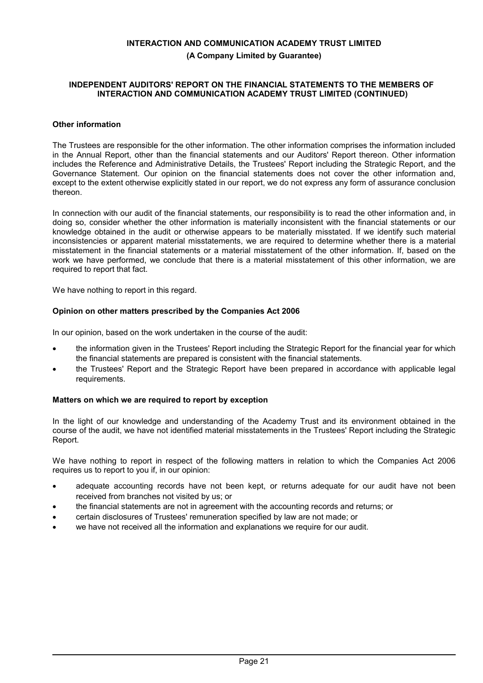### **INDEPENDENT AUDITORS' REPORT ON THE FINANCIAL STATEMENTS TO THE MEMBERS OF INTERACTION AND COMMUNICATION ACADEMY TRUST LIMITED (CONTINUED)**

## **Other information**

The Trustees are responsible for the other information. The other information comprises the information included in the Annual Report, other than the financial statements and our Auditors' Report thereon. Other information includes the Reference and Administrative Details, the Trustees' Report including the Strategic Report, and the Governance Statement. Our opinion on the financial statements does not cover the other information and, except to the extent otherwise explicitly stated in our report, we do not express any form of assurance conclusion thereon.

In connection with our audit of the financial statements, our responsibility is to read the other information and, in doing so, consider whether the other information is materially inconsistent with the financial statements or our knowledge obtained in the audit or otherwise appears to be materially misstated. If we identify such material inconsistencies or apparent material misstatements, we are required to determine whether there is a material misstatement in the financial statements or a material misstatement of the other information. If, based on the work we have performed, we conclude that there is a material misstatement of this other information, we are required to report that fact.

We have nothing to report in this regard.

### **Opinion on other matters prescribed by the Companies Act 2006**

In our opinion, based on the work undertaken in the course of the audit:

- the information given in the Trustees' Report including the Strategic Report for the financial year for which the financial statements are prepared is consistent with the financial statements.
- the Trustees' Report and the Strategic Report have been prepared in accordance with applicable legal requirements.

#### **Matters on which we are required to report by exception**

In the light of our knowledge and understanding of the Academy Trust and its environment obtained in the course of the audit, we have not identified material misstatements in the Trustees' Report including the Strategic Report.

We have nothing to report in respect of the following matters in relation to which the Companies Act 2006 requires us to report to you if, in our opinion:

- adequate accounting records have not been kept, or returns adequate for our audit have not been received from branches not visited by us; or
- the financial statements are not in agreement with the accounting records and returns; or
- certain disclosures of Trustees' remuneration specified by law are not made; or
- we have not received all the information and explanations we require for our audit.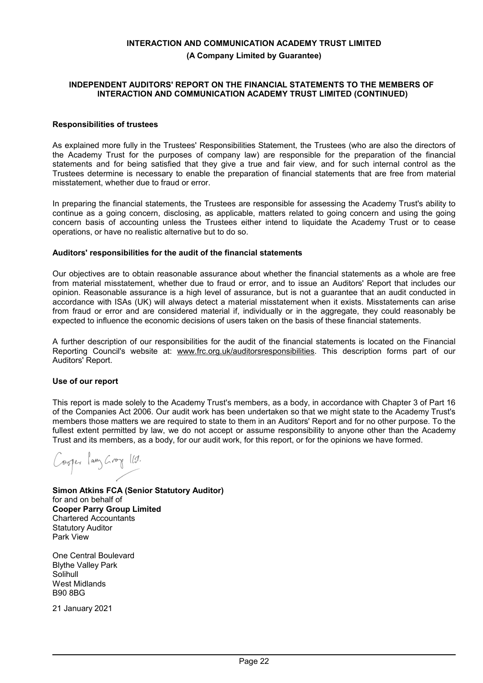### **INDEPENDENT AUDITORS' REPORT ON THE FINANCIAL STATEMENTS TO THE MEMBERS OF INTERACTION AND COMMUNICATION ACADEMY TRUST LIMITED (CONTINUED)**

## **Responsibilities of trustees**

As explained more fully in the Trustees' Responsibilities Statement, the Trustees (who are also the directors of the Academy Trust for the purposes of company law) are responsible for the preparation of the financial statements and for being satisfied that they give a true and fair view, and for such internal control as the Trustees determine is necessary to enable the preparation of financial statements that are free from material misstatement, whether due to fraud or error.

In preparing the financial statements, the Trustees are responsible for assessing the Academy Trust's ability to continue as a going concern, disclosing, as applicable, matters related to going concern and using the going concern basis of accounting unless the Trustees either intend to liquidate the Academy Trust or to cease operations, or have no realistic alternative but to do so.

#### **Auditors' responsibilities for the audit of the financial statements**

Our objectives are to obtain reasonable assurance about whether the financial statements as a whole are free from material misstatement, whether due to fraud or error, and to issue an Auditors' Report that includes our opinion. Reasonable assurance is a high level of assurance, but is not a guarantee that an audit conducted in accordance with ISAs (UK) will always detect a material misstatement when it exists. Misstatements can arise from fraud or error and are considered material if, individually or in the aggregate, they could reasonably be expected to influence the economic decisions of users taken on the basis of these financial statements.

A further description of our responsibilities for the audit of the financial statements is located on the Financial Reporting Council's website at: www.frc.org.uk/auditorsresponsibilities. This description forms part of our Auditors' Report.

#### **Use of our report**

This report is made solely to the Academy Trust's members, as a body, in accordance with Chapter 3 of Part 16 of the Companies Act 2006. Our audit work has been undertaken so that we might state to the Academy Trust's members those matters we are required to state to them in an Auditors' Report and for no other purpose. To the fullest extent permitted by law, we do not accept or assume responsibility to anyone other than the Academy Trust and its members, as a body, for our audit work, for this report, or for the opinions we have formed.

Corper Pany Groy 119.

**Simon Atkins FCA (Senior Statutory Auditor)** for and on behalf of **Cooper Parry Group Limited** Chartered Accountants Statutory Auditor Park View

One Central Boulevard Blythe Valley Park Solihull West Midlands B90 8BG

21 January 2021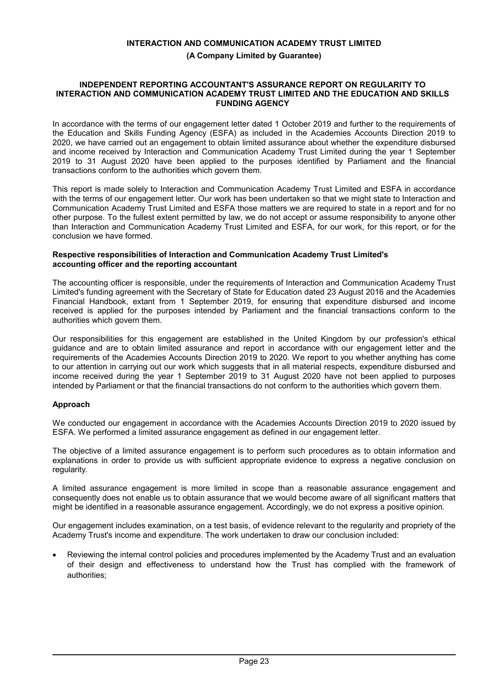### **INDEPENDENT REPORTING ACCOUNTANT'S ASSURANCE REPORT ON REGULARITY TO INTERACTION AND COMMUNICATION ACADEMY TRUST LIMITED AND THE EDUCATION AND SKILLS FUNDING AGENCY**

In accordance with the terms of our engagement letter dated 1 October 2019 and further to the requirements of the Education and Skills Funding Agency (ESFA) as included in the Academies Accounts Direction 2019 to 2020, we have carried out an engagement to obtain limited assurance about whether the expenditure disbursed and income received by Interaction and Communication Academy Trust Limited during the year 1 September 2019 to 31 August 2020 have been applied to the purposes identified by Parliament and the financial transactions conform to the authorities which govern them.

This report is made solely to Interaction and Communication Academy Trust Limited and ESFA in accordance with the terms of our engagement letter. Our work has been undertaken so that we might state to Interaction and Communication Academy Trust Limited and ESFA those matters we are required to state in a report and for no other purpose. To the fullest extent permitted by law, we do not accept or assume responsibility to anyone other than Interaction and Communication Academy Trust Limited and ESFA, for our work, for this report, or for the conclusion we have formed.

## **Respective responsibilities of Interaction and Communication Academy Trust Limited's accounting officer and the reporting accountant**

The accounting officer is responsible, under the requirements of Interaction and Communication Academy Trust Limited's funding agreement with the Secretary of State for Education dated 23 August 2016 and the Academies Financial Handbook, extant from 1 September 2019, for ensuring that expenditure disbursed and income received is applied for the purposes intended by Parliament and the financial transactions conform to the authorities which govern them.

Our responsibilities for this engagement are established in the United Kingdom by our profession's ethical guidance and are to obtain limited assurance and report in accordance with our engagement letter and the requirements of the Academies Accounts Direction 2019 to 2020. We report to you whether anything has come to our attention in carrying out our work which suggests that in all material respects, expenditure disbursed and income received during the year 1 September 2019 to 31 August 2020 have not been applied to purposes intended by Parliament or that the financial transactions do not conform to the authorities which govern them.

## **Approach**

We conducted our engagement in accordance with the Academies Accounts Direction 2019 to 2020 issued by ESFA. We performed a limited assurance engagement as defined in our engagement letter.

The objective of a limited assurance engagement is to perform such procedures as to obtain information and explanations in order to provide us with sufficient appropriate evidence to express a negative conclusion on regularity.

A limited assurance engagement is more limited in scope than a reasonable assurance engagement and consequently does not enable us to obtain assurance that we would become aware of all significant matters that might be identified in a reasonable assurance engagement. Accordingly, we do not express a positive opinion.

Our engagement includes examination, on a test basis, of evidence relevant to the regularity and propriety of the Academy Trust's income and expenditure. The work undertaken to draw our conclusion included:

 Reviewing the internal control policies and procedures implemented by the Academy Trust and an evaluation of their design and effectiveness to understand how the Trust has complied with the framework of authorities;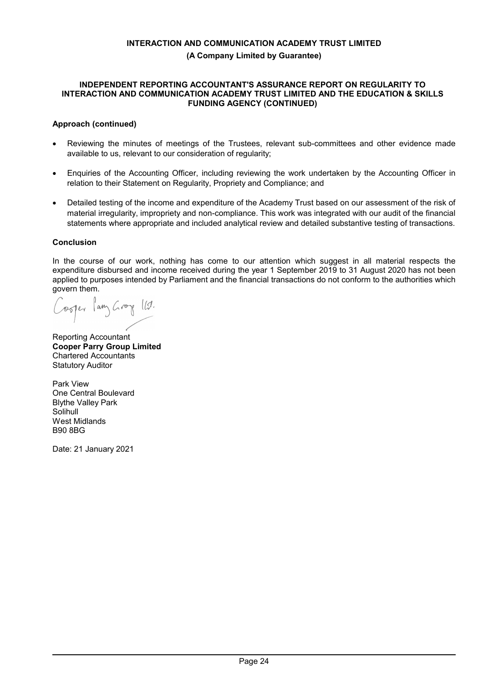## **INDEPENDENT REPORTING ACCOUNTANT'S ASSURANCE REPORT ON REGULARITY TO INTERACTION AND COMMUNICATION ACADEMY TRUST LIMITED AND THE EDUCATION & SKILLS FUNDING AGENCY (CONTINUED)**

## **Approach (continued)**

- Reviewing the minutes of meetings of the Trustees, relevant sub-committees and other evidence made available to us, relevant to our consideration of regularity;
- Enquiries of the Accounting Officer, including reviewing the work undertaken by the Accounting Officer in relation to their Statement on Regularity, Propriety and Compliance; and
- Detailed testing of the income and expenditure of the Academy Trust based on our assessment of the risk of material irregularity, impropriety and non-compliance. This work was integrated with our audit of the financial statements where appropriate and included analytical review and detailed substantive testing of transactions.

## **Conclusion**

In the course of our work, nothing has come to our attention which suggest in all material respects the expenditure disbursed and income received during the year 1 September 2019 to 31 August 2020 has not been applied to purposes intended by Parliament and the financial transactions do not conform to the authorities which govern them.

Cooper lang Groy 11.

Reporting Accountant **Cooper Parry Group Limited** Chartered Accountants Statutory Auditor

Park View One Central Boulevard Blythe Valley Park Solihull West Midlands B90 8BG

Date: 21 January 2021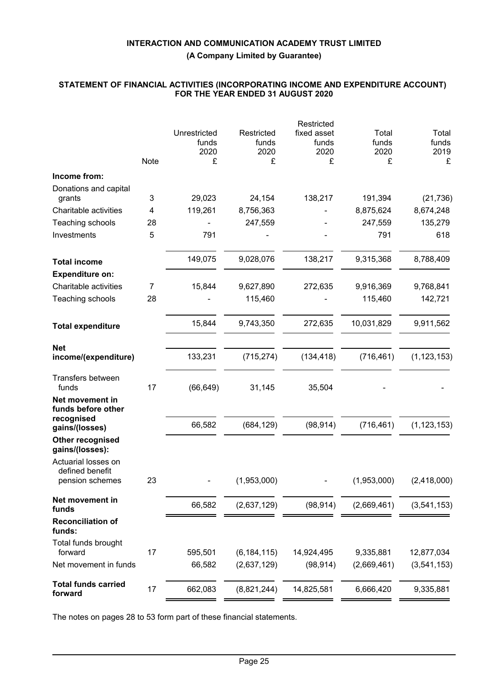## **STATEMENT OF FINANCIAL ACTIVITIES (INCORPORATING INCOME AND EXPENDITURE ACCOUNT) FOR THE YEAR ENDED 31 AUGUST 2020**

| Total<br>funds |
|----------------|
| 2019<br>£      |
|                |
| (21, 736)      |
| 8,674,248      |
| 135,279        |
| 618            |
| 8,788,409      |
|                |
| 9,768,841      |
| 142,721        |
| 9,911,562      |
| (1, 123, 153)  |
|                |
|                |
|                |
| (1, 123, 153)  |
|                |
|                |
| (2,418,000)    |
| (3,541,153)    |
|                |
| 12,877,034     |
| (3, 541, 153)  |
| 9,335,881      |
|                |

The notes on pages 28 to 53 form part of these financial statements.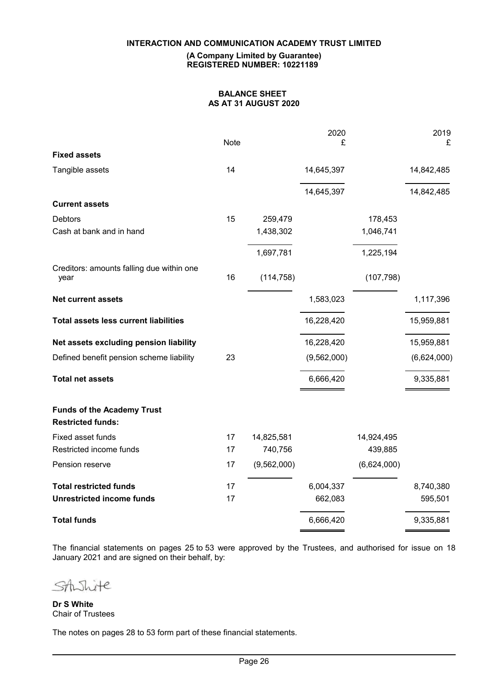#### **(A Company Limited by Guarantee) REGISTERED NUMBER: 10221189**

## **BALANCE SHEET AS AT 31 AUGUST 2020**

|                                                               | Note |             | 2020<br>£   |             | 2019<br>£   |
|---------------------------------------------------------------|------|-------------|-------------|-------------|-------------|
| <b>Fixed assets</b>                                           |      |             |             |             |             |
| Tangible assets                                               | 14   |             | 14,645,397  |             | 14,842,485  |
|                                                               |      |             | 14,645,397  |             | 14,842,485  |
| <b>Current assets</b>                                         |      |             |             |             |             |
| Debtors                                                       | 15   | 259,479     |             | 178,453     |             |
| Cash at bank and in hand                                      |      | 1,438,302   |             | 1,046,741   |             |
|                                                               |      | 1,697,781   |             | 1,225,194   |             |
| Creditors: amounts falling due within one<br>year             | 16   | (114, 758)  |             | (107, 798)  |             |
| <b>Net current assets</b>                                     |      |             | 1,583,023   |             | 1,117,396   |
| <b>Total assets less current liabilities</b>                  |      |             | 16,228,420  |             | 15,959,881  |
| Net assets excluding pension liability                        |      |             | 16,228,420  |             | 15,959,881  |
| Defined benefit pension scheme liability                      | 23   |             | (9,562,000) |             | (6,624,000) |
| <b>Total net assets</b>                                       |      |             | 6,666,420   |             | 9,335,881   |
| <b>Funds of the Academy Trust</b><br><b>Restricted funds:</b> |      |             |             |             |             |
| Fixed asset funds                                             | 17   | 14,825,581  |             | 14,924,495  |             |
| Restricted income funds                                       | 17   | 740,756     |             | 439,885     |             |
| Pension reserve                                               | 17   | (9,562,000) |             | (6,624,000) |             |
| <b>Total restricted funds</b>                                 | 17   |             | 6,004,337   |             | 8,740,380   |
| <b>Unrestricted income funds</b>                              | 17   |             | 662,083     |             | 595,501     |
| <b>Total funds</b>                                            |      |             | 6,666,420   |             | 9,335,881   |

The financial statements on pages 25 to 53 were approved by the Trustees, and authorised for issue on 18 January 2021 and are signed on their behalf, by:

Shite SAL

**Dr S White** Chair of Trustees

The notes on pages 28 to 53 form part of these financial statements.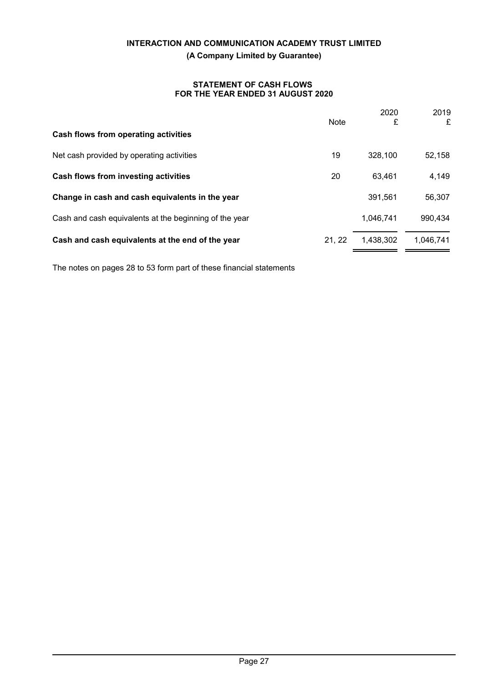## **STATEMENT OF CASH FLOWS FOR THE YEAR ENDED 31 AUGUST 2020**

|                                                        | <b>Note</b> | 2020<br>£ | 2019<br>£ |
|--------------------------------------------------------|-------------|-----------|-----------|
| Cash flows from operating activities                   |             |           |           |
| Net cash provided by operating activities              | 19          | 328,100   | 52,158    |
| Cash flows from investing activities                   | 20          | 63.461    | 4,149     |
| Change in cash and cash equivalents in the year        |             | 391,561   | 56,307    |
| Cash and cash equivalents at the beginning of the year |             | 1,046,741 | 990,434   |
| Cash and cash equivalents at the end of the year       | 21.22       | 1,438,302 | 1.046.741 |

The notes on pages 28 to 53 form part of these financial statements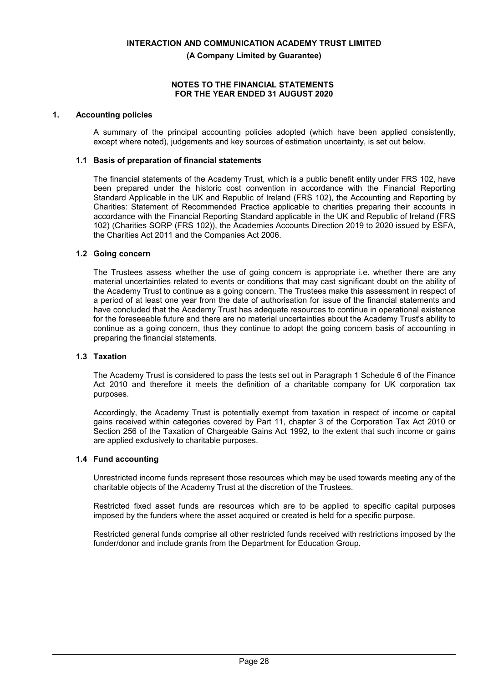**(A Company Limited by Guarantee)**

### **NOTES TO THE FINANCIAL STATEMENTS FOR THE YEAR ENDED 31 AUGUST 2020**

## **1. Accounting policies**

A summary of the principal accounting policies adopted (which have been applied consistently, except where noted), judgements and key sources of estimation uncertainty, is set out below.

### **1.1 Basis of preparation of financial statements**

The financial statements of the Academy Trust, which is a public benefit entity under FRS 102, have been prepared under the historic cost convention in accordance with the Financial Reporting Standard Applicable in the UK and Republic of Ireland (FRS 102), the Accounting and Reporting by Charities: Statement of Recommended Practice applicable to charities preparing their accounts in accordance with the Financial Reporting Standard applicable in the UK and Republic of Ireland (FRS 102) (Charities SORP (FRS 102)), the Academies Accounts Direction 2019 to 2020 issued by ESFA, the Charities Act 2011 and the Companies Act 2006.

### **1.2 Going concern**

The Trustees assess whether the use of going concern is appropriate i.e. whether there are any material uncertainties related to events or conditions that may cast significant doubt on the ability of the Academy Trust to continue as a going concern. The Trustees make this assessment in respect of a period of at least one year from the date of authorisation for issue of the financial statements and have concluded that the Academy Trust has adequate resources to continue in operational existence for the foreseeable future and there are no material uncertainties about the Academy Trust's ability to continue as a going concern, thus they continue to adopt the going concern basis of accounting in preparing the financial statements.

## **1.3 Taxation**

The Academy Trust is considered to pass the tests set out in Paragraph 1 Schedule 6 of the Finance Act 2010 and therefore it meets the definition of a charitable company for UK corporation tax purposes.

Accordingly, the Academy Trust is potentially exempt from taxation in respect of income or capital gains received within categories covered by Part 11, chapter 3 of the Corporation Tax Act 2010 or Section 256 of the Taxation of Chargeable Gains Act 1992, to the extent that such income or gains are applied exclusively to charitable purposes.

## **1.4 Fund accounting**

Unrestricted income funds represent those resources which may be used towards meeting any of the charitable objects of the Academy Trust at the discretion of the Trustees.

Restricted fixed asset funds are resources which are to be applied to specific capital purposes imposed by the funders where the asset acquired or created is held for a specific purpose.

Restricted general funds comprise all other restricted funds received with restrictions imposed by the funder/donor and include grants from the Department for Education Group.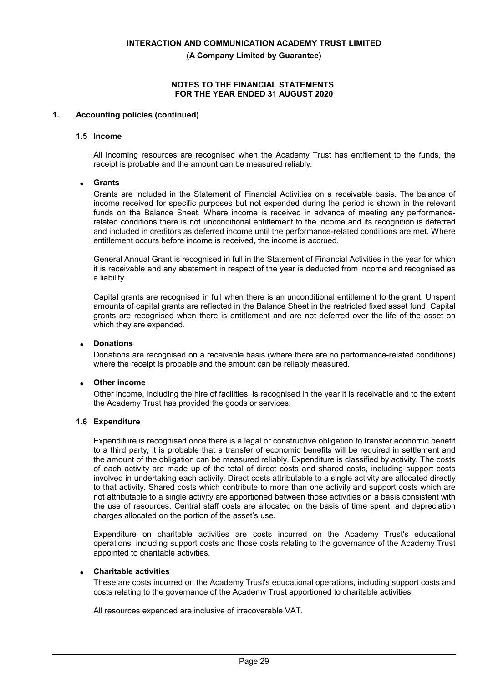**(A Company Limited by Guarantee)**

## **NOTES TO THE FINANCIAL STATEMENTS FOR THE YEAR ENDED 31 AUGUST 2020**

## **1. Accounting policies (continued)**

#### **1.5 Income**

All incoming resources are recognised when the Academy Trust has entitlement to the funds, the receipt is probable and the amount can be measured reliably.

## **Grants**

Grants are included in the Statement of Financial Activities on a receivable basis. The balance of income received for specific purposes but not expended during the period is shown in the relevant funds on the Balance Sheet. Where income is received in advance of meeting any performancerelated conditions there is not unconditional entitlement to the income and its recognition is deferred and included in creditors as deferred income until the performance-related conditions are met. Where entitlement occurs before income is received, the income is accrued.

General Annual Grant is recognised in full in the Statement of Financial Activities in the year for which it is receivable and any abatement in respect of the year is deducted from income and recognised as a liability.

Capital grants are recognised in full when there is an unconditional entitlement to the grant. Unspent amounts of capital grants are reflected in the Balance Sheet in the restricted fixed asset fund. Capital grants are recognised when there is entitlement and are not deferred over the life of the asset on which they are expended.

## **Donations**

Donations are recognised on a receivable basis (where there are no performance-related conditions) where the receipt is probable and the amount can be reliably measured.

## **Other income**

Other income, including the hire of facilities, is recognised in the year it is receivable and to the extent the Academy Trust has provided the goods or services.

## **1.6 Expenditure**

Expenditure is recognised once there is a legal or constructive obligation to transfer economic benefit to a third party, it is probable that a transfer of economic benefits will be required in settlement and the amount of the obligation can be measured reliably. Expenditure is classified by activity. The costs of each activity are made up of the total of direct costs and shared costs, including support costs involved in undertaking each activity. Direct costs attributable to a single activity are allocated directly to that activity. Shared costs which contribute to more than one activity and support costs which are not attributable to a single activity are apportioned between those activities on a basis consistent with the use of resources. Central staff costs are allocated on the basis of time spent, and depreciation charges allocated on the portion of the asset's use.

Expenditure on charitable activities are costs incurred on the Academy Trust's educational operations, including support costs and those costs relating to the governance of the Academy Trust appointed to charitable activities.

#### **Charitable activities**

These are costs incurred on the Academy Trust's educational operations, including support costs and costs relating to the governance of the Academy Trust apportioned to charitable activities.

All resources expended are inclusive of irrecoverable VAT.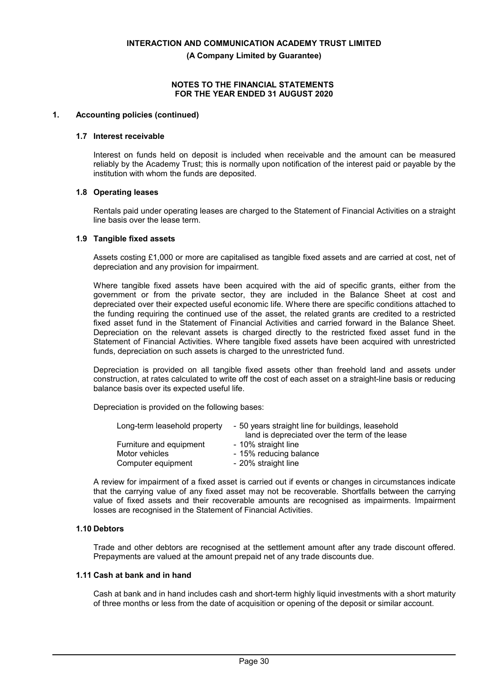**(A Company Limited by Guarantee)**

## **NOTES TO THE FINANCIAL STATEMENTS FOR THE YEAR ENDED 31 AUGUST 2020**

## **1. Accounting policies (continued)**

### **1.7 Interest receivable**

Interest on funds held on deposit is included when receivable and the amount can be measured reliably by the Academy Trust; this is normally upon notification of the interest paid or payable by the institution with whom the funds are deposited.

### **1.8 Operating leases**

Rentals paid under operating leases are charged to the Statement of Financial Activities on a straight line basis over the lease term.

### **1.9 Tangible fixed assets**

Assets costing £1,000 or more are capitalised as tangible fixed assets and are carried at cost, net of depreciation and any provision for impairment.

Where tangible fixed assets have been acquired with the aid of specific grants, either from the government or from the private sector, they are included in the Balance Sheet at cost and depreciated over their expected useful economic life. Where there are specific conditions attached to the funding requiring the continued use of the asset, the related grants are credited to a restricted fixed asset fund in the Statement of Financial Activities and carried forward in the Balance Sheet. Depreciation on the relevant assets is charged directly to the restricted fixed asset fund in the Statement of Financial Activities. Where tangible fixed assets have been acquired with unrestricted funds, depreciation on such assets is charged to the unrestricted fund.

Depreciation is provided on all tangible fixed assets other than freehold land and assets under construction, at rates calculated to write off the cost of each asset on a straight-line basis or reducing balance basis over its expected useful life.

Depreciation is provided on the following bases:

| Long-term leasehold property | - 50 years straight line for buildings, leasehold<br>land is depreciated over the term of the lease |
|------------------------------|-----------------------------------------------------------------------------------------------------|
| Furniture and equipment      | - 10% straight line                                                                                 |
| Motor vehicles               | - 15% reducing balance                                                                              |
| Computer equipment           | - 20% straight line                                                                                 |

A review for impairment of a fixed asset is carried out if events or changes in circumstances indicate that the carrying value of any fixed asset may not be recoverable. Shortfalls between the carrying value of fixed assets and their recoverable amounts are recognised as impairments. Impairment losses are recognised in the Statement of Financial Activities.

## **1.10 Debtors**

Trade and other debtors are recognised at the settlement amount after any trade discount offered. Prepayments are valued at the amount prepaid net of any trade discounts due.

#### **1.11 Cash at bank and in hand**

Cash at bank and in hand includes cash and short-term highly liquid investments with a short maturity of three months or less from the date of acquisition or opening of the deposit or similar account.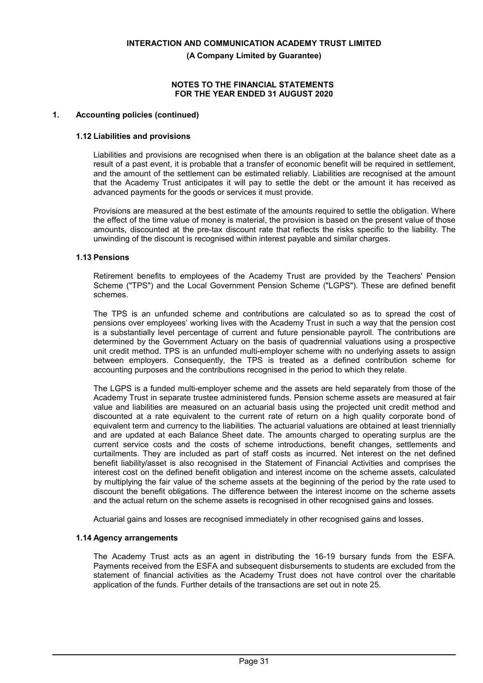**(A Company Limited by Guarantee)**

### **NOTES TO THE FINANCIAL STATEMENTS FOR THE YEAR ENDED 31 AUGUST 2020**

## **1. Accounting policies (continued)**

### **1.12 Liabilities and provisions**

Liabilities and provisions are recognised when there is an obligation at the balance sheet date as a result of a past event, it is probable that a transfer of economic benefit will be required in settlement, and the amount of the settlement can be estimated reliably. Liabilities are recognised at the amount that the Academy Trust anticipates it will pay to settle the debt or the amount it has received as advanced payments for the goods or services it must provide.

Provisions are measured at the best estimate of the amounts required to settle the obligation. Where the effect of the time value of money is material, the provision is based on the present value of those amounts, discounted at the pre-tax discount rate that reflects the risks specific to the liability. The unwinding of the discount is recognised within interest payable and similar charges.

### **1.13 Pensions**

Retirement benefits to employees of the Academy Trust are provided by the Teachers' Pension Scheme ("TPS") and the Local Government Pension Scheme ("LGPS"). These are defined benefit schemes.

The TPS is an unfunded scheme and contributions are calculated so as to spread the cost of pensions over employees' working lives with the Academy Trust in such a way that the pension cost is a substantially level percentage of current and future pensionable payroll. The contributions are determined by the Government Actuary on the basis of quadrennial valuations using a prospective unit credit method. TPS is an unfunded multi-employer scheme with no underlying assets to assign between employers. Consequently, the TPS is treated as a defined contribution scheme for accounting purposes and the contributions recognised in the period to which they relate.

The LGPS is a funded multi-employer scheme and the assets are held separately from those of the Academy Trust in separate trustee administered funds. Pension scheme assets are measured at fair value and liabilities are measured on an actuarial basis using the projected unit credit method and discounted at a rate equivalent to the current rate of return on a high quality corporate bond of equivalent term and currency to the liabilities. The actuarial valuations are obtained at least triennially and are updated at each Balance Sheet date. The amounts charged to operating surplus are the current service costs and the costs of scheme introductions, benefit changes, settlements and curtailments. They are included as part of staff costs as incurred. Net interest on the net defined benefit liability/asset is also recognised in the Statement of Financial Activities and comprises the interest cost on the defined benefit obligation and interest income on the scheme assets, calculated by multiplying the fair value of the scheme assets at the beginning of the period by the rate used to discount the benefit obligations. The difference between the interest income on the scheme assets and the actual return on the scheme assets is recognised in other recognised gains and losses.

Actuarial gains and losses are recognised immediately in other recognised gains and losses.

## **1.14 Agency arrangements**

The Academy Trust acts as an agent in distributing the 16-19 bursary funds from the ESFA. Payments received from the ESFA and subsequent disbursements to students are excluded from the statement of financial activities as the Academy Trust does not have control over the charitable application of the funds. Further details of the transactions are set out in note 25.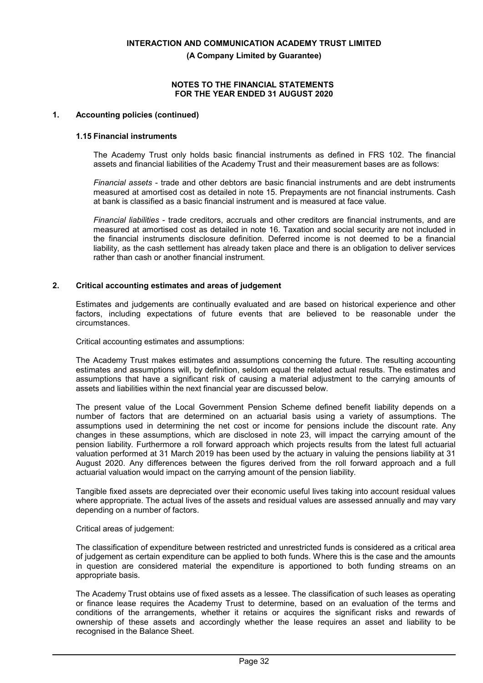**(A Company Limited by Guarantee)**

## **NOTES TO THE FINANCIAL STATEMENTS FOR THE YEAR ENDED 31 AUGUST 2020**

## **1. Accounting policies (continued)**

### **1.15 Financial instruments**

The Academy Trust only holds basic financial instruments as defined in FRS 102. The financial assets and financial liabilities of the Academy Trust and their measurement bases are as follows:

*Financial assets* - trade and other debtors are basic financial instruments and are debt instruments measured at amortised cost as detailed in note 15. Prepayments are not financial instruments. Cash at bank is classified as a basic financial instrument and is measured at face value.

*Financial liabilities* - trade creditors, accruals and other creditors are financial instruments, and are measured at amortised cost as detailed in note 16. Taxation and social security are not included in the financial instruments disclosure definition. Deferred income is not deemed to be a financial liability, as the cash settlement has already taken place and there is an obligation to deliver services rather than cash or another financial instrument.

### **2. Critical accounting estimates and areas of judgement**

Estimates and judgements are continually evaluated and are based on historical experience and other factors, including expectations of future events that are believed to be reasonable under the circumstances.

Critical accounting estimates and assumptions:

The Academy Trust makes estimates and assumptions concerning the future. The resulting accounting estimates and assumptions will, by definition, seldom equal the related actual results. The estimates and assumptions that have a significant risk of causing a material adjustment to the carrying amounts of assets and liabilities within the next financial year are discussed below.

The present value of the Local Government Pension Scheme defined benefit liability depends on a number of factors that are determined on an actuarial basis using a variety of assumptions. The assumptions used in determining the net cost or income for pensions include the discount rate. Any changes in these assumptions, which are disclosed in note 23, will impact the carrying amount of the pension liability. Furthermore a roll forward approach which projects results from the latest full actuarial valuation performed at 31 March 2019 has been used by the actuary in valuing the pensions liability at 31 August 2020. Any differences between the figures derived from the roll forward approach and a full actuarial valuation would impact on the carrying amount of the pension liability.

Tangible fixed assets are depreciated over their economic useful lives taking into account residual values where appropriate. The actual lives of the assets and residual values are assessed annually and may vary depending on a number of factors.

## Critical areas of judgement:

The classification of expenditure between restricted and unrestricted funds is considered as a critical area of judgement as certain expenditure can be applied to both funds. Where this is the case and the amounts in question are considered material the expenditure is apportioned to both funding streams on an appropriate basis.

The Academy Trust obtains use of fixed assets as a lessee. The classification of such leases as operating or finance lease requires the Academy Trust to determine, based on an evaluation of the terms and conditions of the arrangements, whether it retains or acquires the significant risks and rewards of ownership of these assets and accordingly whether the lease requires an asset and liability to be recognised in the Balance Sheet.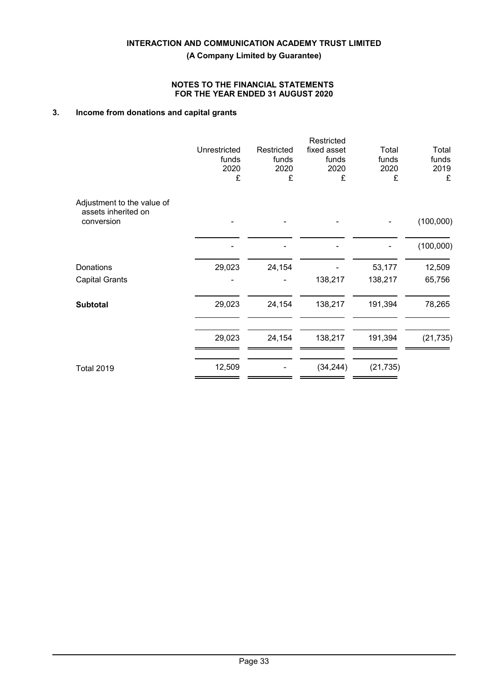## **NOTES TO THE FINANCIAL STATEMENTS FOR THE YEAR ENDED 31 AUGUST 2020**

## **3. Income from donations and capital grants**

| Unrestricted<br>funds<br>2020<br>£ | Restricted<br>funds<br>2020<br>£ | Restricted<br>fixed asset<br>funds<br>2020<br>£ | Total<br>funds<br>2020<br>£ | Total<br>funds<br>2019<br>£ |
|------------------------------------|----------------------------------|-------------------------------------------------|-----------------------------|-----------------------------|
|                                    |                                  |                                                 |                             | (100,000)                   |
|                                    |                                  |                                                 |                             | (100,000)                   |
| 29,023                             | 24,154                           |                                                 | 53,177                      | 12,509                      |
|                                    |                                  | 138,217                                         | 138,217                     | 65,756                      |
| 29,023                             | 24,154                           | 138,217                                         | 191,394                     | 78,265                      |
| 29,023                             | 24,154                           | 138,217                                         | 191,394                     | (21, 735)                   |
| 12,509                             |                                  | (34, 244)                                       | (21, 735)                   |                             |
|                                    |                                  |                                                 |                             |                             |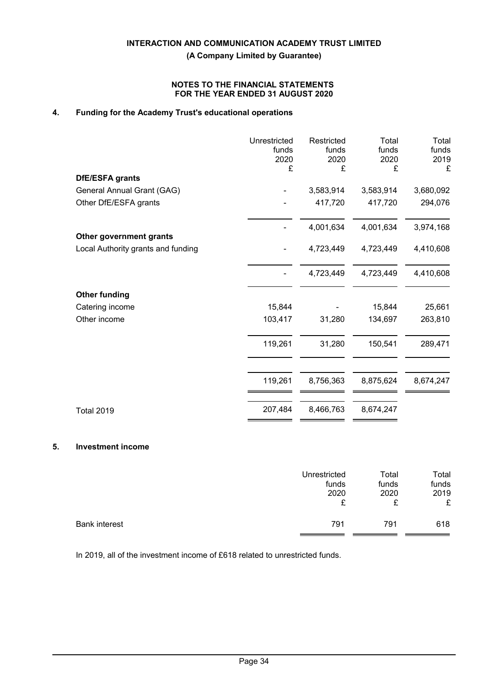**(A Company Limited by Guarantee)**

## **NOTES TO THE FINANCIAL STATEMENTS FOR THE YEAR ENDED 31 AUGUST 2020**

# **4. Funding for the Academy Trust's educational operations**

|                                                               | Unrestricted<br>funds<br>2020<br>£ | Restricted<br>funds<br>2020<br>£ | Total<br>funds<br>2020<br>£ | Total<br>funds<br>2019<br>£ |
|---------------------------------------------------------------|------------------------------------|----------------------------------|-----------------------------|-----------------------------|
| <b>DfE/ESFA grants</b>                                        |                                    |                                  |                             |                             |
| General Annual Grant (GAG)                                    |                                    | 3,583,914                        | 3,583,914                   | 3,680,092                   |
| Other DfE/ESFA grants                                         |                                    | 417,720                          | 417,720                     | 294,076                     |
|                                                               |                                    | 4,001,634                        | 4,001,634                   | 3,974,168                   |
| Other government grants<br>Local Authority grants and funding |                                    | 4,723,449                        | 4,723,449                   | 4,410,608                   |
|                                                               |                                    | 4,723,449                        | 4,723,449                   | 4,410,608                   |
| <b>Other funding</b>                                          |                                    |                                  |                             |                             |
| Catering income                                               | 15,844                             |                                  | 15,844                      | 25,661                      |
| Other income                                                  | 103,417                            | 31,280                           | 134,697                     | 263,810                     |
|                                                               | 119,261                            | 31,280                           | 150,541                     | 289,471                     |
|                                                               | 119,261                            | 8,756,363                        | 8,875,624                   | 8,674,247                   |
| <b>Total 2019</b>                                             | 207,484                            | 8,466,763                        | 8,674,247                   |                             |

## **5. Investment income**

|                      | Unrestricted | Total | Total |
|----------------------|--------------|-------|-------|
|                      | funds        | funds | funds |
|                      | 2020         | 2020  | 2019  |
|                      | ¢            | c     | £     |
| <b>Bank interest</b> | 791          | 791   | 618   |

In 2019, all of the investment income of £618 related to unrestricted funds.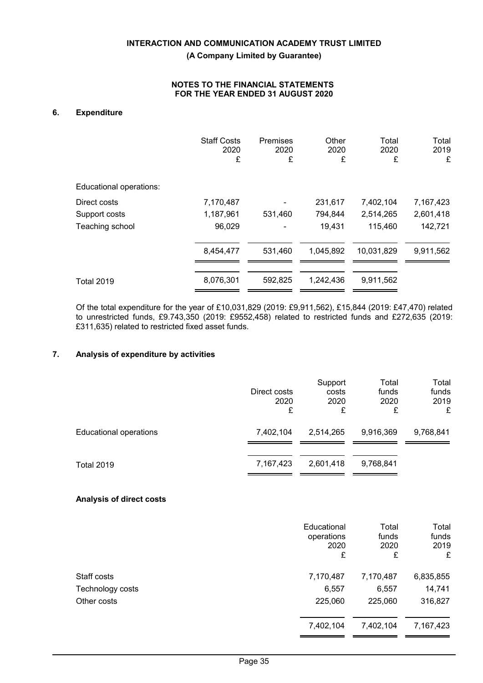## **NOTES TO THE FINANCIAL STATEMENTS FOR THE YEAR ENDED 31 AUGUST 2020**

## **6. Expenditure**

|                         | <b>Staff Costs</b><br>2020<br>£ | <b>Premises</b><br>2020<br>£ | Other<br>2020<br>£ | Total<br>2020<br>£ | Total<br>2019<br>£ |
|-------------------------|---------------------------------|------------------------------|--------------------|--------------------|--------------------|
| Educational operations: |                                 |                              |                    |                    |                    |
| Direct costs            | 7,170,487                       |                              | 231,617            | 7,402,104          | 7,167,423          |
| Support costs           | 1,187,961                       | 531,460                      | 794,844            | 2,514,265          | 2,601,418          |
| Teaching school         | 96,029                          |                              | 19,431             | 115,460            | 142,721            |
|                         | 8,454,477                       | 531,460                      | 1,045,892          | 10,031,829         | 9,911,562          |
|                         |                                 |                              |                    |                    |                    |
| <b>Total 2019</b>       | 8,076,301                       | 592,825                      | 1,242,436          | 9,911,562          |                    |

Of the total expenditure for the year of £10,031,829 (2019: £9,911,562), £15,844 (2019: £47,470) related to unrestricted funds, £9.743,350 (2019: £9552,458) related to restricted funds and £272,635 (2019: £311,635) related to restricted fixed asset funds.

## **7. Analysis of expenditure by activities**

|                               | Direct costs<br>2020<br>£ | Support<br>costs<br>2020<br>£ | Total<br>funds<br>2020<br>£ | Total<br>funds<br>2019<br>£ |
|-------------------------------|---------------------------|-------------------------------|-----------------------------|-----------------------------|
| <b>Educational operations</b> | 7,402,104                 | 2,514,265                     | 9,916,369                   | 9,768,841                   |
| <b>Total 2019</b>             | 7,167,423                 | 2,601,418                     | 9,768,841                   |                             |

#### **Analysis of direct costs**

|                  | Educational<br>operations<br>2020<br>£ | Total<br>funds<br>2020<br>£ | Total<br>funds<br>2019<br>£ |
|------------------|----------------------------------------|-----------------------------|-----------------------------|
| Staff costs      | 7,170,487                              | 7,170,487                   | 6,835,855                   |
| Technology costs | 6,557                                  | 6,557                       | 14,741                      |
| Other costs      | 225,060                                | 225,060                     | 316,827                     |
|                  | 7,402,104                              | 7,402,104                   | 7,167,423                   |
|                  |                                        |                             |                             |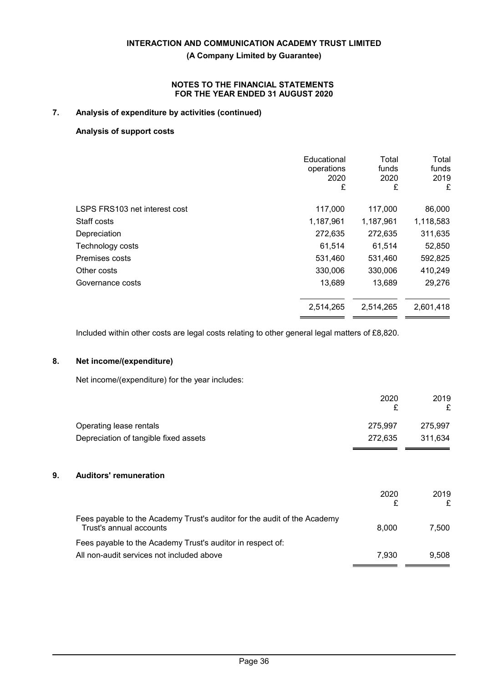## **NOTES TO THE FINANCIAL STATEMENTS FOR THE YEAR ENDED 31 AUGUST 2020**

## **7. Analysis of expenditure by activities (continued)**

## **Analysis of support costs**

|                               | Educational<br>operations<br>2020<br>£ | Total<br>funds<br>2020<br>£ | Total<br>funds<br>2019<br>£ |
|-------------------------------|----------------------------------------|-----------------------------|-----------------------------|
| LSPS FRS103 net interest cost | 117,000                                | 117,000                     | 86,000                      |
| Staff costs                   | 1,187,961                              | 1,187,961                   | 1,118,583                   |
| Depreciation                  | 272,635                                | 272,635                     | 311,635                     |
| Technology costs              | 61,514                                 | 61,514                      | 52,850                      |
| Premises costs                | 531,460                                | 531,460                     | 592,825                     |
| Other costs                   | 330,006                                | 330,006                     | 410,249                     |
| Governance costs              | 13,689                                 | 13,689                      | 29,276                      |
|                               | 2,514,265                              | 2,514,265                   | 2,601,418                   |
|                               |                                        |                             |                             |

Included within other costs are legal costs relating to other general legal matters of £8,820.

## **8. Net income/(expenditure)**

Net income/(expenditure) for the year includes:

|         | 2019    |
|---------|---------|
|         |         |
| 275.997 | 275,997 |
| 272.635 | 311.634 |
|         | 2020    |

# **9. Auditors' remuneration**

| 2020  | 2019  |
|-------|-------|
| 8.000 | 7.500 |
|       |       |
| 7.930 | 9.508 |
|       |       |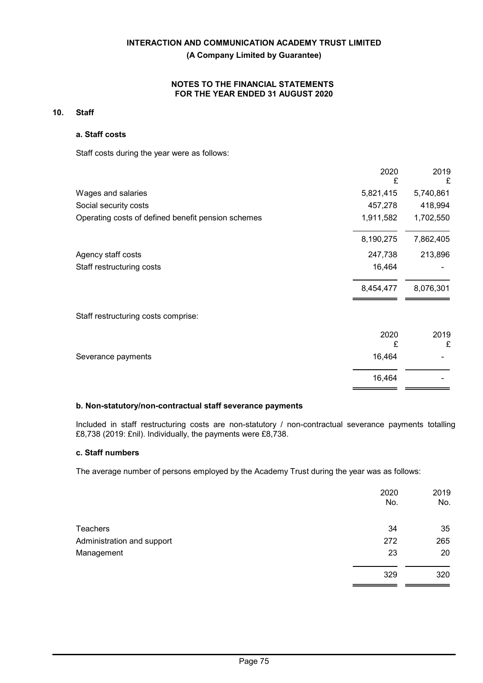## NOTES TO THE FINANCIAL STATEMENTS FOR THE YEAR ENDED 31 AUGUST 2020

## 10. Staff

## a. Staff costs

Staff costs during the year were as follows:

|                                                    | 2020<br>£ | 2019<br>£ |
|----------------------------------------------------|-----------|-----------|
| Wages and salaries                                 | 5,821,415 | 5,740,861 |
| Social security costs                              | 457,278   | 418,994   |
| Operating costs of defined benefit pension schemes | 1,911,582 | 1,702,550 |
|                                                    | 8,190,275 | 7,862,405 |
| Agency staff costs                                 | 247,738   | 213,896   |
| Staff restructuring costs                          | 16,464    |           |
|                                                    | 8,454,477 | 8,076,301 |
| Staff restructuring costs comprise:                |           |           |
|                                                    | 2020<br>£ | 2019<br>£ |
| Severance payments                                 | 16,464    |           |
|                                                    | 16,464    |           |
|                                                    |           |           |

## b. Non-statutory/non-contractual staff severance payments

Included in staff restructuring costs are non-statutory / non-contractual severance payments totalling £8,738 (2019: £nil). Individually, the payments were £8,738.

## c. Staff numbers

The average number of persons employed by the Academy Trust during the year was as follows:

|                            | 2020<br>No. | 2019<br>No. |
|----------------------------|-------------|-------------|
| Teachers                   | 34          | 35          |
| Administration and support | 272         | 265         |
| Management                 | 23          | 20          |
|                            | 329         | 320         |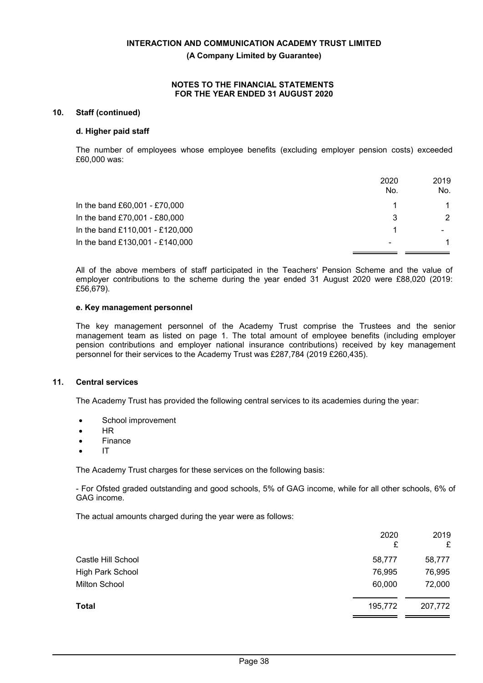## **NOTES TO THE FINANCIAL STATEMENTS FOR THE YEAR ENDED 31 AUGUST 2020**

## **10. Staff (continued)**

### **d. Higher paid staff**

The number of employees whose employee benefits (excluding employer pension costs) exceeded £60,000 was:

|                                 | 2020<br>No. | 2019<br>No.              |
|---------------------------------|-------------|--------------------------|
| In the band £60,001 - £70,000   |             |                          |
| In the band £70,001 - £80,000   | 3           | $\mathcal{P}$            |
| In the band £110,001 - £120,000 |             | $\overline{\phantom{0}}$ |
| In the band £130,001 - £140,000 | ۰           |                          |

All of the above members of staff participated in the Teachers' Pension Scheme and the value of employer contributions to the scheme during the year ended 31 August 2020 were £88,020 (2019: £56,679).

### **e. Key management personnel**

The key management personnel of the Academy Trust comprise the Trustees and the senior management team as listed on page 1. The total amount of employee benefits (including employer pension contributions and employer national insurance contributions) received by key management personnel for their services to the Academy Trust was £287,784 (2019 £260,435).

## **11. Central services**

The Academy Trust has provided the following central services to its academies during the year:

- School improvement
- HR
- Finance
- IT

The Academy Trust charges for these services on the following basis:

- For Ofsted graded outstanding and good schools, 5% of GAG income, while for all other schools, 6% of GAG income.

The actual amounts charged during the year were as follows:

|                      | 2020<br>£ | 2019<br>£ |
|----------------------|-----------|-----------|
| Castle Hill School   | 58,777    | 58,777    |
| High Park School     | 76,995    | 76,995    |
| <b>Milton School</b> | 60,000    | 72,000    |
| <b>Total</b>         | 195,772   | 207,772   |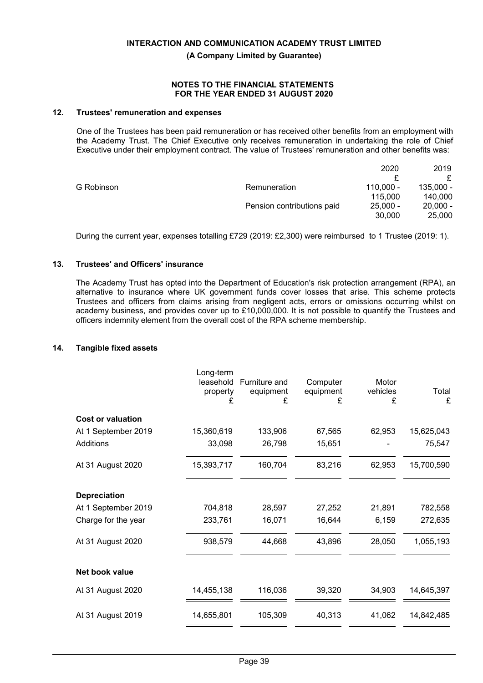**(A Company Limited by Guarantee)**

### **NOTES TO THE FINANCIAL STATEMENTS FOR THE YEAR ENDED 31 AUGUST 2020**

## **12. Trustees' remuneration and expenses**

One of the Trustees has been paid remuneration or has received other benefits from an employment with the Academy Trust. The Chief Executive only receives remuneration in undertaking the role of Chief Executive under their employment contract. The value of Trustees' remuneration and other benefits was:

|            |                            | 2020        | 2019       |
|------------|----------------------------|-------------|------------|
|            |                            |             |            |
| G Robinson | Remuneration               | $110.000 -$ | 135.000 -  |
|            |                            | 115.000     | 140,000    |
|            | Pension contributions paid | $25.000 -$  | $20,000 -$ |
|            |                            | 30,000      | 25,000     |

During the current year, expenses totalling £729 (2019: £2,300) were reimbursed to 1 Trustee (2019: 1).

## **13. Trustees' and Officers' insurance**

The Academy Trust has opted into the Department of Education's risk protection arrangement (RPA), an alternative to insurance where UK government funds cover losses that arise. This scheme protects Trustees and officers from claims arising from negligent acts, errors or omissions occurring whilst on academy business, and provides cover up to £10,000,000. It is not possible to quantify the Trustees and officers indemnity element from the overall cost of the RPA scheme membership.

## **14. Tangible fixed assets**

|                          | Long-term<br>leasehold<br>property<br>£ | Furniture and<br>equipment<br>£ | Computer<br>equipment<br>£ | Motor<br>vehicles<br>£ | Total<br>£ |
|--------------------------|-----------------------------------------|---------------------------------|----------------------------|------------------------|------------|
| <b>Cost or valuation</b> |                                         |                                 |                            |                        |            |
| At 1 September 2019      | 15,360,619                              | 133,906                         | 67,565                     | 62,953                 | 15,625,043 |
| Additions                | 33,098                                  | 26,798                          | 15,651                     |                        | 75,547     |
| At 31 August 2020        | 15,393,717                              | 160,704                         | 83,216                     | 62,953                 | 15,700,590 |
| <b>Depreciation</b>      |                                         |                                 |                            |                        |            |
| At 1 September 2019      | 704,818                                 | 28,597                          | 27,252                     | 21,891                 | 782,558    |
| Charge for the year      | 233,761                                 | 16,071                          | 16,644                     | 6,159                  | 272,635    |
| At 31 August 2020        | 938,579                                 | 44,668                          | 43,896                     | 28,050                 | 1,055,193  |
| Net book value           |                                         |                                 |                            |                        |            |
| At 31 August 2020        | 14,455,138                              | 116,036                         | 39,320                     | 34,903                 | 14,645,397 |
| At 31 August 2019        | 14,655,801                              | 105,309                         | 40,313                     | 41,062                 | 14,842,485 |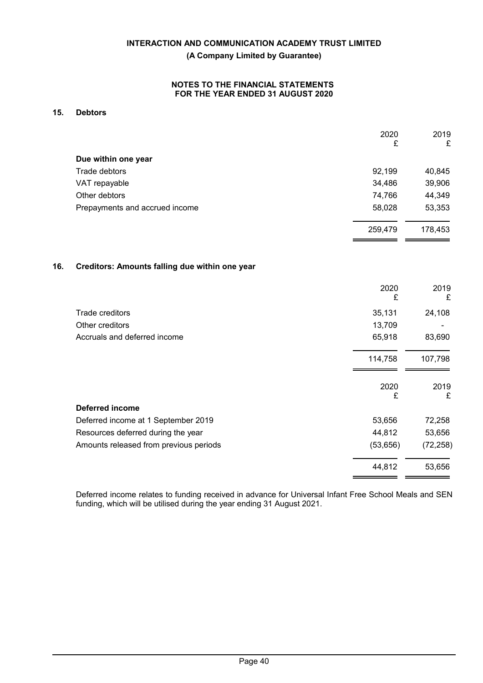## **NOTES TO THE FINANCIAL STATEMENTS FOR THE YEAR ENDED 31 AUGUST 2020**

## **15. Debtors**

|                                | 2020<br>£ | 2019<br>£ |
|--------------------------------|-----------|-----------|
| Due within one year            |           |           |
| Trade debtors                  | 92,199    | 40,845    |
| VAT repayable                  | 34,486    | 39,906    |
| Other debtors                  | 74,766    | 44,349    |
| Prepayments and accrued income | 58,028    | 53,353    |
|                                | 259,479   | 178,453   |

## **16. Creditors: Amounts falling due within one year**

|                                        | 2020<br>£ | 2019<br>£ |
|----------------------------------------|-----------|-----------|
| Trade creditors                        | 35,131    | 24,108    |
| Other creditors                        | 13,709    |           |
| Accruals and deferred income           | 65,918    | 83,690    |
|                                        | 114,758   | 107,798   |
|                                        | 2020<br>£ | 2019<br>£ |
| Deferred income                        |           |           |
| Deferred income at 1 September 2019    | 53,656    | 72,258    |
| Resources deferred during the year     | 44,812    | 53,656    |
| Amounts released from previous periods | (53, 656) | (72, 258) |
|                                        | 44,812    | 53,656    |

Deferred income relates to funding received in advance for Universal Infant Free School Meals and SEN funding, which will be utilised during the year ending 31 August 2021.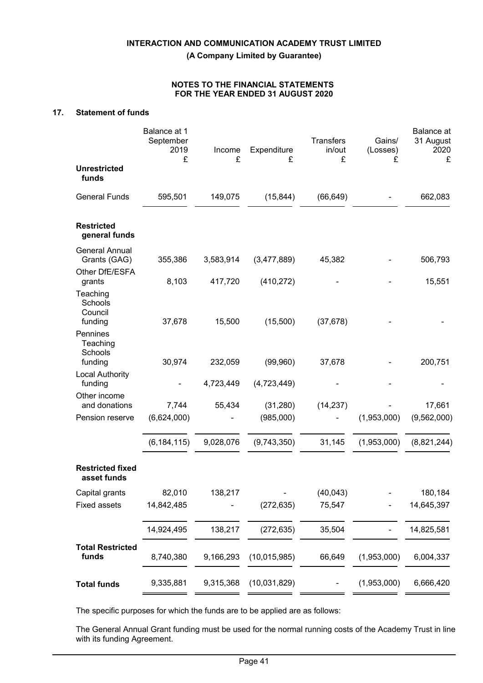## **NOTES TO THE FINANCIAL STATEMENTS FOR THE YEAR ENDED 31 AUGUST 2020**

## **17. Statement of funds**

|                                            | Balance at 1<br>September<br>2019<br>£ | Income<br>£ | Expenditure<br>£ | <b>Transfers</b><br>in/out<br>£ | Gains/<br>(Losses)<br>£ | Balance at<br>31 August<br>2020<br>£ |
|--------------------------------------------|----------------------------------------|-------------|------------------|---------------------------------|-------------------------|--------------------------------------|
| <b>Unrestricted</b><br>funds               |                                        |             |                  |                                 |                         |                                      |
| <b>General Funds</b>                       | 595,501                                | 149,075     | (15, 844)        | (66, 649)                       |                         | 662,083                              |
| <b>Restricted</b><br>general funds         |                                        |             |                  |                                 |                         |                                      |
| <b>General Annual</b><br>Grants (GAG)      | 355,386                                | 3,583,914   | (3,477,889)      | 45,382                          |                         | 506,793                              |
| Other DfE/ESFA<br>grants                   | 8,103                                  | 417,720     | (410, 272)       |                                 |                         | 15,551                               |
| Teaching<br>Schools<br>Council<br>funding  | 37,678                                 | 15,500      | (15,500)         | (37, 678)                       |                         |                                      |
| Pennines<br>Teaching<br>Schools<br>funding | 30,974                                 | 232,059     | (99,960)         | 37,678                          |                         | 200,751                              |
| <b>Local Authority</b>                     |                                        |             |                  |                                 |                         |                                      |
| funding<br>Other income                    |                                        | 4,723,449   | (4,723,449)      |                                 |                         |                                      |
| and donations                              | 7,744                                  | 55,434      | (31, 280)        | (14, 237)                       |                         | 17,661                               |
| Pension reserve                            | (6,624,000)                            |             | (985,000)        |                                 | (1,953,000)             | (9, 562, 000)                        |
|                                            | (6, 184, 115)                          | 9,028,076   | (9,743,350)      | 31,145                          | (1,953,000)             | (8,821,244)                          |
| <b>Restricted fixed</b><br>asset funds     |                                        |             |                  |                                 |                         |                                      |
| Capital grants                             | 82,010                                 | 138,217     |                  | (40, 043)                       |                         | 180,184                              |
| <b>Fixed assets</b>                        | 14,842,485                             |             | (272, 635)       | 75,547                          |                         | 14,645,397                           |
|                                            | 14,924,495                             | 138,217     | (272, 635)       | 35,504                          |                         | 14,825,581                           |
| <b>Total Restricted</b><br>funds           | 8,740,380                              | 9,166,293   | (10, 015, 985)   | 66,649                          | (1,953,000)             | 6,004,337                            |
| <b>Total funds</b>                         | 9,335,881                              | 9,315,368   | (10,031,829)     |                                 | (1,953,000)             | 6,666,420                            |

The specific purposes for which the funds are to be applied are as follows:

The General Annual Grant funding must be used for the normal running costs of the Academy Trust in line with its funding Agreement.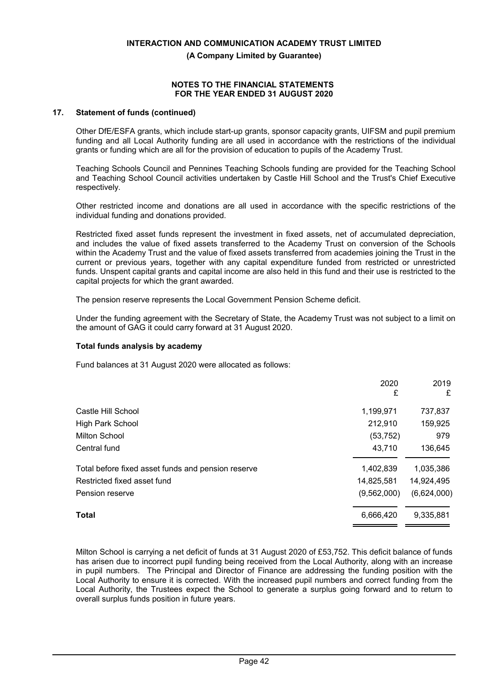**(A Company Limited by Guarantee)**

## **NOTES TO THE FINANCIAL STATEMENTS FOR THE YEAR ENDED 31 AUGUST 2020**

## **17. Statement of funds (continued)**

Other DfE/ESFA grants, which include start-up grants, sponsor capacity grants, UIFSM and pupil premium funding and all Local Authority funding are all used in accordance with the restrictions of the individual grants or funding which are all for the provision of education to pupils of the Academy Trust.

Teaching Schools Council and Pennines Teaching Schools funding are provided for the Teaching School and Teaching School Council activities undertaken by Castle Hill School and the Trust's Chief Executive respectively.

Other restricted income and donations are all used in accordance with the specific restrictions of the individual funding and donations provided.

Restricted fixed asset funds represent the investment in fixed assets, net of accumulated depreciation, and includes the value of fixed assets transferred to the Academy Trust on conversion of the Schools within the Academy Trust and the value of fixed assets transferred from academies joining the Trust in the current or previous years, together with any capital expenditure funded from restricted or unrestricted funds. Unspent capital grants and capital income are also held in this fund and their use is restricted to the capital projects for which the grant awarded.

The pension reserve represents the Local Government Pension Scheme deficit.

Under the funding agreement with the Secretary of State, the Academy Trust was not subject to a limit on the amount of GAG it could carry forward at 31 August 2020.

## **Total funds analysis by academy**

Fund balances at 31 August 2020 were allocated as follows:

|                                                    | 2020<br>£   | 2019<br>£   |
|----------------------------------------------------|-------------|-------------|
| Castle Hill School                                 | 1,199,971   | 737,837     |
| High Park School                                   | 212,910     | 159,925     |
| <b>Milton School</b>                               | (53, 752)   | 979         |
| Central fund                                       | 43,710      | 136,645     |
| Total before fixed asset funds and pension reserve | 1,402,839   | 1,035,386   |
| Restricted fixed asset fund                        | 14,825,581  | 14,924,495  |
| Pension reserve                                    | (9,562,000) | (6,624,000) |
| <b>Total</b>                                       | 6,666,420   | 9,335,881   |

Milton School is carrying a net deficit of funds at 31 August 2020 of £53,752. This deficit balance of funds has arisen due to incorrect pupil funding being received from the Local Authority, along with an increase in pupil numbers. The Principal and Director of Finance are addressing the funding position with the Local Authority to ensure it is corrected. With the increased pupil numbers and correct funding from the Local Authority, the Trustees expect the School to generate a surplus going forward and to return to overall surplus funds position in future years.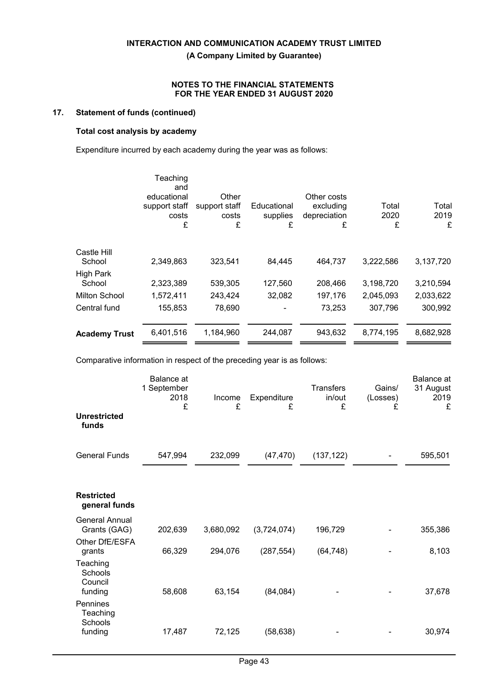## **NOTES TO THE FINANCIAL STATEMENTS FOR THE YEAR ENDED 31 AUGUST 2020**

## **17. Statement of funds (continued)**

# **Total cost analysis by academy**

Expenditure incurred by each academy during the year was as follows:

|                       | Teaching<br>and<br>educational<br>support staff<br>costs<br>£ | Other<br>support staff<br>costs<br>£ | Educational<br>supplies<br>£ | Other costs<br>excluding<br>depreciation<br>£ | Total<br>2020<br>£ | Total<br>2019<br>£ |
|-----------------------|---------------------------------------------------------------|--------------------------------------|------------------------------|-----------------------------------------------|--------------------|--------------------|
| Castle Hill<br>School | 2,349,863                                                     | 323,541                              | 84,445                       | 464,737                                       | 3,222,586          | 3,137,720          |
| <b>High Park</b>      |                                                               |                                      |                              |                                               |                    |                    |
| School                | 2,323,389                                                     | 539,305                              | 127,560                      | 208,466                                       | 3,198,720          | 3,210,594          |
| <b>Milton School</b>  | 1,572,411                                                     | 243,424                              | 32,082                       | 197,176                                       | 2,045,093          | 2,033,622          |
| Central fund          | 155,853                                                       | 78,690                               |                              | 73,253                                        | 307,796            | 300,992            |
| <b>Academy Trust</b>  | 6,401,516                                                     | 1,184,960                            | 244,087                      | 943,632                                       | 8,774,195          | 8,682,928          |
|                       |                                                               |                                      |                              |                                               |                    |                    |

Comparative information in respect of the preceding year is as follows:

|                                           | Balance at<br>1 September<br>2018<br>£ | Income<br>£ | Expenditure<br>£ | <b>Transfers</b><br>in/out<br>£ | Gains/<br>(Losses)<br>£ | Balance at<br>31 August<br>2019<br>£ |
|-------------------------------------------|----------------------------------------|-------------|------------------|---------------------------------|-------------------------|--------------------------------------|
| <b>Unrestricted</b><br>funds              |                                        |             |                  |                                 |                         |                                      |
| <b>General Funds</b>                      | 547,994                                | 232,099     | (47, 470)        | (137, 122)                      |                         | 595,501                              |
| <b>Restricted</b><br>general funds        |                                        |             |                  |                                 |                         |                                      |
| <b>General Annual</b><br>Grants (GAG)     | 202,639                                | 3,680,092   | (3,724,074)      | 196,729                         |                         | 355,386                              |
| Other DfE/ESFA<br>grants                  | 66,329                                 | 294,076     | (287, 554)       | (64, 748)                       |                         | 8,103                                |
| Teaching<br>Schools<br>Council<br>funding | 58,608                                 | 63,154      | (84, 084)        |                                 |                         | 37,678                               |
| Pennines<br>Teaching<br>Schools           |                                        |             |                  |                                 |                         |                                      |
| funding                                   | 17,487                                 | 72,125      | (58, 638)        |                                 |                         | 30,974                               |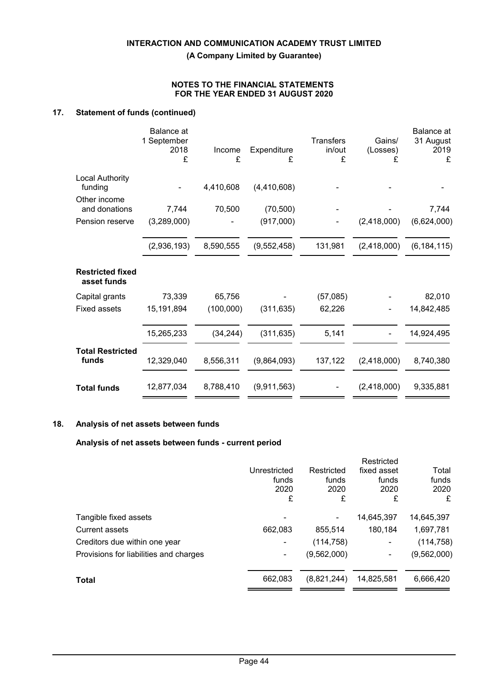**(A Company Limited by Guarantee)**

## **NOTES TO THE FINANCIAL STATEMENTS FOR THE YEAR ENDED 31 AUGUST 2020**

## **17. Statement of funds (continued)**

| Balance at<br>1 September<br>2018<br>£ | Income<br>£ | Expenditure<br>£ | <b>Transfers</b><br>in/out<br>£ | Gains/<br>(Losses)<br>£ | <b>Balance</b> at<br>31 August<br>2019<br>£ |
|----------------------------------------|-------------|------------------|---------------------------------|-------------------------|---------------------------------------------|
|                                        | 4,410,608   | (4,410,608)      |                                 |                         |                                             |
|                                        | 70,500      |                  |                                 |                         | 7,744                                       |
| (3,289,000)                            |             | (917,000)        |                                 | (2,418,000)             | (6,624,000)                                 |
| (2,936,193)                            | 8,590,555   | (9,552,458)      | 131,981                         | (2,418,000)             | (6, 184, 115)                               |
|                                        |             |                  |                                 |                         |                                             |
| 73,339                                 | 65,756      |                  | (57,085)                        |                         | 82,010                                      |
| 15,191,894                             | (100,000)   | (311, 635)       | 62,226                          |                         | 14,842,485                                  |
| 15,265,233                             | (34, 244)   | (311, 635)       | 5,141                           |                         | 14,924,495                                  |
| 12,329,040                             | 8,556,311   | (9,864,093)      | 137,122                         | (2,418,000)             | 8,740,380                                   |
| 12,877,034                             | 8,788,410   | (9,911,563)      |                                 | (2,418,000)             | 9,335,881                                   |
|                                        | 7,744       |                  | (70, 500)                       |                         |                                             |

## **18. Analysis of net assets between funds**

## **Analysis of net assets between funds - current period**

|                                        |                |             | Restricted  |             |
|----------------------------------------|----------------|-------------|-------------|-------------|
|                                        | Unrestricted   | Restricted  | fixed asset | Total       |
|                                        | funds          | funds       | funds       | funds       |
|                                        | 2020           | 2020        | 2020        | 2020        |
|                                        | £              | £           | £           | £           |
| Tangible fixed assets                  | -              |             | 14,645,397  | 14,645,397  |
| Current assets                         | 662,083        | 855,514     | 180,184     | 1,697,781   |
| Creditors due within one year          | -              | (114, 758)  | ۰           | (114, 758)  |
| Provisions for liabilities and charges | $\blacksquare$ | (9,562,000) |             | (9,562,000) |
| Total                                  | 662,083        | (8,821,244) | 14,825,581  | 6,666,420   |
|                                        |                |             |             |             |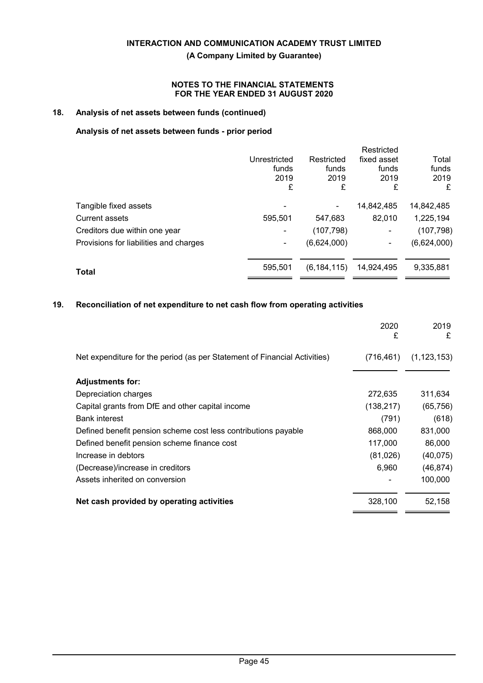## **NOTES TO THE FINANCIAL STATEMENTS FOR THE YEAR ENDED 31 AUGUST 2020**

## **18. Analysis of net assets between funds (continued)**

## **Analysis of net assets between funds - prior period**

|                                        |              |               | Restricted     |             |
|----------------------------------------|--------------|---------------|----------------|-------------|
|                                        | Unrestricted | Restricted    | fixed asset    | Total       |
|                                        | funds        | funds         | funds          | funds       |
|                                        | 2019         | 2019          | 2019           | 2019        |
|                                        | £            | £             | £              | £           |
| Tangible fixed assets                  |              |               | 14,842,485     | 14,842,485  |
| Current assets                         | 595,501      | 547,683       | 82,010         | 1,225,194   |
| Creditors due within one year          |              | (107, 798)    | $\blacksquare$ | (107, 798)  |
| Provisions for liabilities and charges |              | (6,624,000)   | ۰              | (6,624,000) |
| <b>Total</b>                           | 595,501      | (6, 184, 115) | 14,924,495     | 9,335,881   |
|                                        |              |               |                |             |

## **19. Reconciliation of net expenditure to net cash flow from operating activities**

|                                                                           | 2020<br>£  | 2019<br>£     |
|---------------------------------------------------------------------------|------------|---------------|
| Net expenditure for the period (as per Statement of Financial Activities) | (716, 461) | (1, 123, 153) |
| <b>Adjustments for:</b>                                                   |            |               |
| Depreciation charges                                                      | 272,635    | 311,634       |
| Capital grants from DfE and other capital income                          | (138, 217) | (65, 756)     |
| <b>Bank interest</b>                                                      | (791)      | (618)         |
| Defined benefit pension scheme cost less contributions payable            | 868,000    | 831,000       |
| Defined benefit pension scheme finance cost                               | 117,000    | 86,000        |
| Increase in debtors                                                       | (81,026)   | (40, 075)     |
| (Decrease)/increase in creditors                                          | 6,960      | (46, 874)     |
| Assets inherited on conversion                                            |            | 100,000       |
| Net cash provided by operating activities                                 | 328,100    | 52,158        |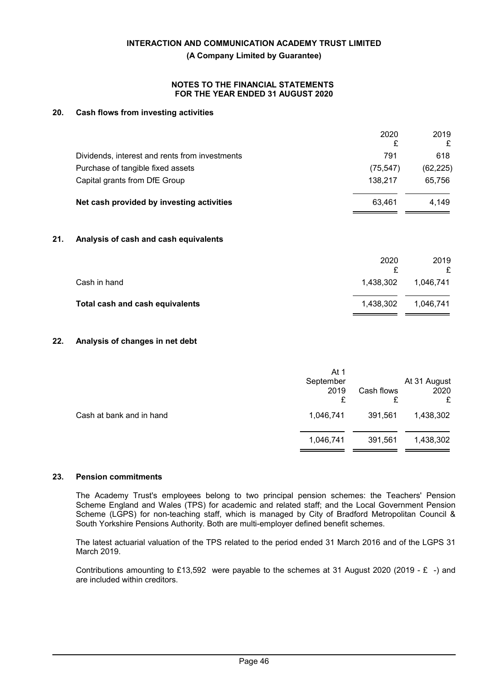### **NOTES TO THE FINANCIAL STATEMENTS FOR THE YEAR ENDED 31 AUGUST 2020**

## **20. Cash flows from investing activities**

| 618       |
|-----------|
| (62, 225) |
| 65,756    |
| 4,149     |
|           |
| 2019<br>£ |
| 1,046,741 |
| 1,046,741 |
|           |

## **22. Analysis of changes in net debt**

|                          | At 1<br>September<br>2019<br>£ | Cash flows<br>£ | At 31 August<br>2020<br>£ |
|--------------------------|--------------------------------|-----------------|---------------------------|
| Cash at bank and in hand | 1,046,741                      | 391,561         | 1,438,302                 |
|                          | 1,046,741                      | 391,561         | 1,438,302                 |

### **23. Pension commitments**

The Academy Trust's employees belong to two principal pension schemes: the Teachers' Pension Scheme England and Wales (TPS) for academic and related staff; and the Local Government Pension Scheme (LGPS) for non-teaching staff, which is managed by City of Bradford Metropolitan Council & South Yorkshire Pensions Authority. Both are multi-employer defined benefit schemes.

The latest actuarial valuation of the TPS related to the period ended 31 March 2016 and of the LGPS 31 March 2019.

Contributions amounting to £13,592 were payable to the schemes at 31 August 2020 (2019 - £ -) and are included within creditors.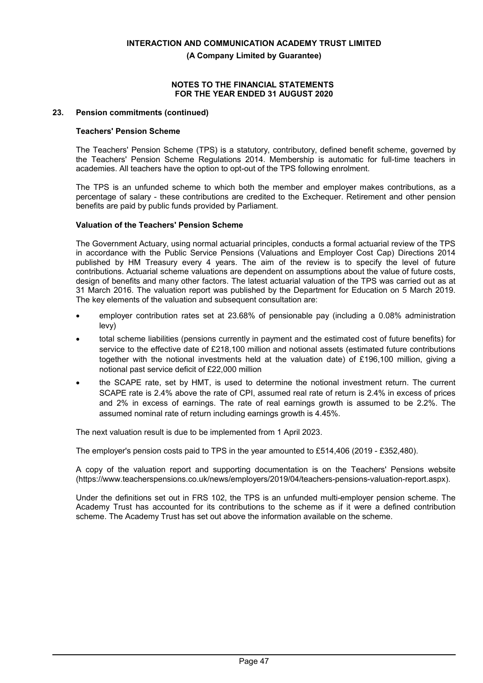**(A Company Limited by Guarantee)**

## **NOTES TO THE FINANCIAL STATEMENTS FOR THE YEAR ENDED 31 AUGUST 2020**

## **23. Pension commitments (continued)**

## **Teachers' Pension Scheme**

The Teachers' Pension Scheme (TPS) is a statutory, contributory, defined benefit scheme, governed by the Teachers' Pension Scheme Regulations 2014. Membership is automatic for full-time teachers in academies. All teachers have the option to opt-out of the TPS following enrolment.

The TPS is an unfunded scheme to which both the member and employer makes contributions, as a percentage of salary - these contributions are credited to the Exchequer. Retirement and other pension benefits are paid by public funds provided by Parliament.

## **Valuation of the Teachers' Pension Scheme**

The Government Actuary, using normal actuarial principles, conducts a formal actuarial review of the TPS in accordance with the Public Service Pensions (Valuations and Employer Cost Cap) Directions 2014 published by HM Treasury every 4 years. The aim of the review is to specify the level of future contributions. Actuarial scheme valuations are dependent on assumptions about the value of future costs, design of benefits and many other factors. The latest actuarial valuation of the TPS was carried out as at 31 March 2016. The valuation report was published by the Department for Education on 5 March 2019. The key elements of the valuation and subsequent consultation are:

- employer contribution rates set at 23.68% of pensionable pay (including a 0.08% administration levy)
- total scheme liabilities (pensions currently in payment and the estimated cost of future benefits) for service to the effective date of £218,100 million and notional assets (estimated future contributions together with the notional investments held at the valuation date) of £196,100 million, giving a notional past service deficit of £22,000 million
- the SCAPE rate, set by HMT, is used to determine the notional investment return. The current SCAPE rate is 2.4% above the rate of CPI, assumed real rate of return is 2.4% in excess of prices and 2% in excess of earnings. The rate of real earnings growth is assumed to be 2.2%. The assumed nominal rate of return including earnings growth is 4.45%.

The next valuation result is due to be implemented from 1 April 2023.

The employer's pension costs paid to TPS in the year amounted to £514,406 (2019 - £352,480).

A copy of the valuation report and supporting documentation is on the Teachers' Pensions website (https://www.teacherspensions.co.uk/news/employers/2019/04/teachers-pensions-valuation-report.aspx).

Under the definitions set out in FRS 102, the TPS is an unfunded multi-employer pension scheme. The Academy Trust has accounted for its contributions to the scheme as if it were a defined contribution scheme. The Academy Trust has set out above the information available on the scheme.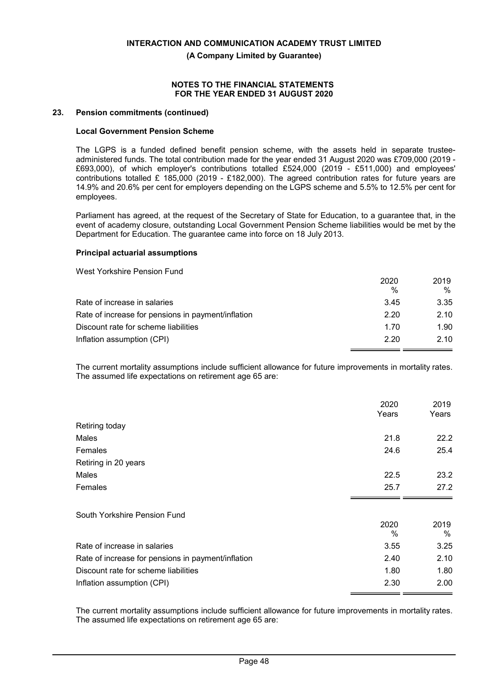**(A Company Limited by Guarantee)**

### **NOTES TO THE FINANCIAL STATEMENTS FOR THE YEAR ENDED 31 AUGUST 2020**

## **23. Pension commitments (continued)**

## **Local Government Pension Scheme**

The LGPS is a funded defined benefit pension scheme, with the assets held in separate trusteeadministered funds. The total contribution made for the year ended 31 August 2020 was £709,000 (2019 - £693,000), of which employer's contributions totalled £524,000 (2019 - £511,000) and employees' contributions totalled £ 185,000 (2019 - £182,000). The agreed contribution rates for future years are 14.9% and 20.6% per cent for employers depending on the LGPS scheme and 5.5% to 12.5% per cent for employees.

Parliament has agreed, at the request of the Secretary of State for Education, to a guarantee that, in the event of academy closure, outstanding Local Government Pension Scheme liabilities would be met by the Department for Education. The guarantee came into force on 18 July 2013.

### **Principal actuarial assumptions**

West Yorkshire Pension Fund

|                                                    | 2020 | 2019 |
|----------------------------------------------------|------|------|
|                                                    | %    | %    |
| Rate of increase in salaries                       | 3.45 | 3.35 |
| Rate of increase for pensions in payment/inflation | 2.20 | 2.10 |
| Discount rate for scheme liabilities               | 1.70 | 1.90 |
| Inflation assumption (CPI)                         | 2.20 | 2.10 |

The current mortality assumptions include sufficient allowance for future improvements in mortality rates. The assumed life expectations on retirement age 65 are:

|                                                    | 2020         | 2019      |
|----------------------------------------------------|--------------|-----------|
|                                                    | Years        | Years     |
| Retiring today                                     |              |           |
| Males                                              | 21.8         | 22.2      |
| Females                                            | 24.6         | 25.4      |
| Retiring in 20 years                               |              |           |
| Males                                              | 22.5         | 23.2      |
| Females                                            | 25.7         | 27.2      |
|                                                    |              |           |
| South Yorkshire Pension Fund                       |              |           |
|                                                    | 2020<br>$\%$ | 2019<br>% |
| Rate of increase in salaries                       | 3.55         | 3.25      |
| Rate of increase for pensions in payment/inflation | 2.40         | 2.10      |
| Discount rate for scheme liabilities               | 1.80         | 1.80      |

The current mortality assumptions include sufficient allowance for future improvements in mortality rates. The assumed life expectations on retirement age 65 are: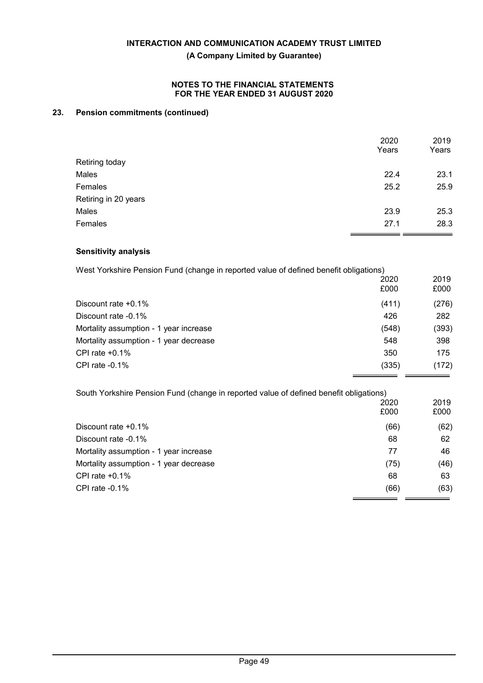## **NOTES TO THE FINANCIAL STATEMENTS FOR THE YEAR ENDED 31 AUGUST 2020**

## **23. Pension commitments (continued)**

|                      | 2020<br>Years | 2019<br>Years |
|----------------------|---------------|---------------|
| Retiring today       |               |               |
| Males                | 22.4          | 23.1          |
| Females              | 25.2          | 25.9          |
| Retiring in 20 years |               |               |
| Males                | 23.9          | 25.3          |
| Females              | 27.1          | 28.3          |

## **Sensitivity analysis**

| West Yorkshire Pension Fund (change in reported value of defined benefit obligations) |              |              |
|---------------------------------------------------------------------------------------|--------------|--------------|
|                                                                                       | 2020<br>£000 | 2019<br>£000 |
| Discount rate $+0.1\%$                                                                | (411)        | (276)        |
| Discount rate -0.1%                                                                   | 426          | 282          |
| Mortality assumption - 1 year increase                                                | (548)        | (393)        |
| Mortality assumption - 1 year decrease                                                | 548          | 398          |
| CPI rate $+0.1\%$                                                                     | 350          | 175          |
| CPI rate $-0.1\%$                                                                     | (335)        | (172)        |

| 2020 | 2019                                                                                   |
|------|----------------------------------------------------------------------------------------|
| £000 | £000                                                                                   |
| (66) | (62)                                                                                   |
| 68   | 62                                                                                     |
| 77   | 46                                                                                     |
| (75) | (46)                                                                                   |
| 68   | 63                                                                                     |
| (66) | (63)                                                                                   |
|      | South Yorkshire Pension Fund (change in reported value of defined benefit obligations) |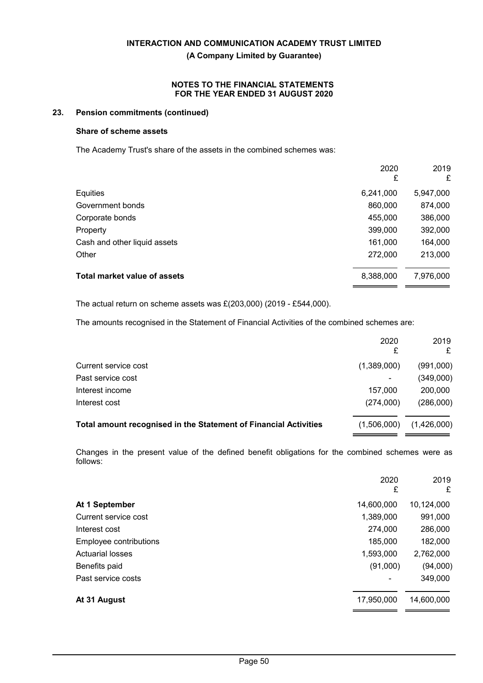## **NOTES TO THE FINANCIAL STATEMENTS FOR THE YEAR ENDED 31 AUGUST 2020**

## **23. Pension commitments (continued)**

## **Share of scheme assets**

The Academy Trust's share of the assets in the combined schemes was:

|                                     | 2020<br>£ | 2019<br>£ |
|-------------------------------------|-----------|-----------|
|                                     |           |           |
| Equities                            | 6,241,000 | 5,947,000 |
| Government bonds                    | 860,000   | 874,000   |
| Corporate bonds                     | 455,000   | 386,000   |
| Property                            | 399,000   | 392,000   |
| Cash and other liquid assets        | 161,000   | 164,000   |
| Other                               | 272,000   | 213,000   |
| <b>Total market value of assets</b> | 8,388,000 | 7,976,000 |

The actual return on scheme assets was £(203,000) (2019 - £544,000).

The amounts recognised in the Statement of Financial Activities of the combined schemes are:

|                                                                  | 2020        | 2019<br>£   |
|------------------------------------------------------------------|-------------|-------------|
| Current service cost                                             | (1,389,000) | (991,000)   |
| Past service cost                                                | ۰           | (349,000)   |
| Interest income                                                  | 157.000     | 200,000     |
| Interest cost                                                    | (274,000)   | (286,000)   |
| Total amount recognised in the Statement of Financial Activities | (1,506,000) | (1,426,000) |

Changes in the present value of the defined benefit obligations for the combined schemes were as follows:

|                         | 2020<br>£  | 2019<br>£  |
|-------------------------|------------|------------|
| At 1 September          | 14,600,000 | 10,124,000 |
| Current service cost    | 1,389,000  | 991,000    |
| Interest cost           | 274,000    | 286,000    |
| Employee contributions  | 185,000    | 182,000    |
| <b>Actuarial losses</b> | 1,593,000  | 2,762,000  |
| Benefits paid           | (91,000)   | (94,000)   |
| Past service costs      |            | 349,000    |
| At 31 August            | 17,950,000 | 14,600,000 |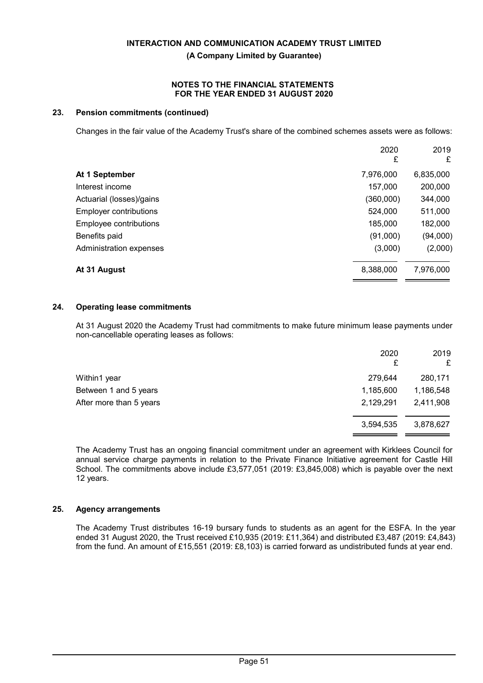## **NOTES TO THE FINANCIAL STATEMENTS FOR THE YEAR ENDED 31 AUGUST 2020**

## **23. Pension commitments (continued)**

Changes in the fair value of the Academy Trust's share of the combined schemes assets were as follows:

|                               | 2020<br>£ | 2019<br>£ |
|-------------------------------|-----------|-----------|
| At 1 September                | 7,976,000 | 6,835,000 |
| Interest income               | 157,000   | 200,000   |
| Actuarial (losses)/gains      | (360,000) | 344,000   |
| <b>Employer contributions</b> | 524,000   | 511,000   |
| Employee contributions        | 185,000   | 182,000   |
| Benefits paid                 | (91,000)  | (94,000)  |
| Administration expenses       | (3,000)   | (2,000)   |
| At 31 August                  | 8,388,000 | 7,976,000 |

## **24. Operating lease commitments**

At 31 August 2020 the Academy Trust had commitments to make future minimum lease payments under non-cancellable operating leases as follows:

|                         | 2020<br>£ | 2019<br>£ |
|-------------------------|-----------|-----------|
| Within1 year            | 279.644   | 280,171   |
| Between 1 and 5 years   | 1,185,600 | 1,186,548 |
| After more than 5 years | 2,129,291 | 2,411,908 |
|                         | 3,594,535 | 3,878,627 |

The Academy Trust has an ongoing financial commitment under an agreement with Kirklees Council for annual service charge payments in relation to the Private Finance Initiative agreement for Castle Hill School. The commitments above include £3,577,051 (2019: £3,845,008) which is payable over the next 12 years.

## **25. Agency arrangements**

The Academy Trust distributes 16-19 bursary funds to students as an agent for the ESFA. In the year ended 31 August 2020, the Trust received £10,935 (2019: £11,364) and distributed £3,487 (2019: £4,843) from the fund. An amount of £15,551 (2019: £8,103) is carried forward as undistributed funds at year end.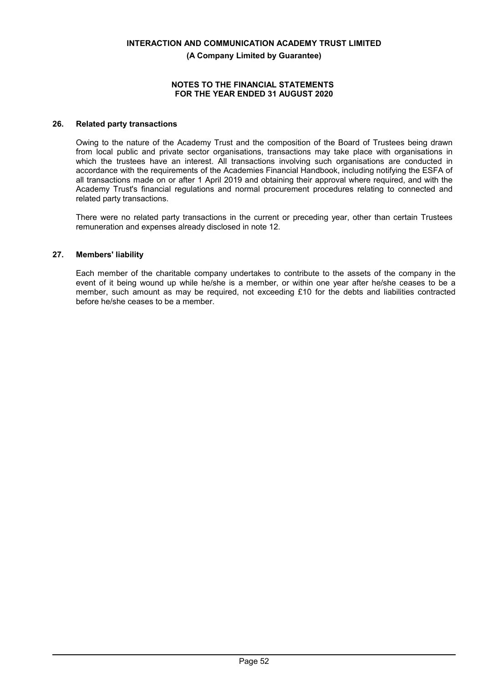#### **NOTES TO THE FINANCIAL STATEMENTS FOR THE YEAR ENDED 31 AUGUST 2020**

## **26. Related party transactions**

Owing to the nature of the Academy Trust and the composition of the Board of Trustees being drawn from local public and private sector organisations, transactions may take place with organisations in which the trustees have an interest. All transactions involving such organisations are conducted in accordance with the requirements of the Academies Financial Handbook, including notifying the ESFA of all transactions made on or after 1 April 2019 and obtaining their approval where required, and with the Academy Trust's financial regulations and normal procurement procedures relating to connected and related party transactions.

There were no related party transactions in the current or preceding year, other than certain Trustees remuneration and expenses already disclosed in note 12.

## **27. Members' liability**

Each member of the charitable company undertakes to contribute to the assets of the company in the event of it being wound up while he/she is a member, or within one year after he/she ceases to be a member, such amount as may be required, not exceeding £10 for the debts and liabilities contracted before he/she ceases to be a member.